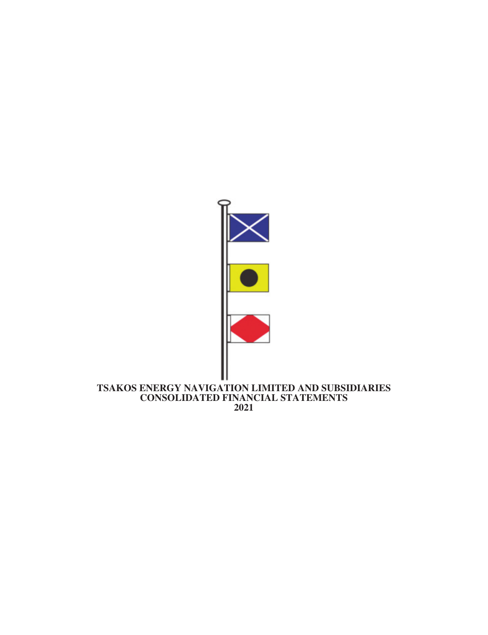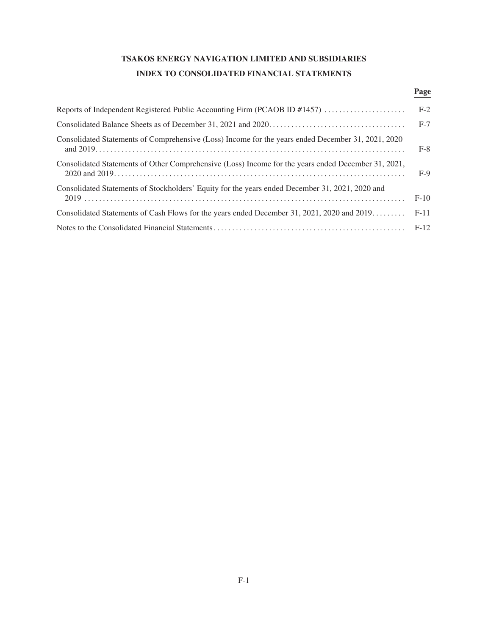# **TSAKOS ENERGY NAVIGATION LIMITED AND SUBSIDIARIES INDEX TO CONSOLIDATED FINANCIAL STATEMENTS**

# **Page**

| Reports of Independent Registered Public Accounting Firm (PCAOB ID #1457)                           | $F-2$  |
|-----------------------------------------------------------------------------------------------------|--------|
|                                                                                                     | $F-7$  |
| Consolidated Statements of Comprehensive (Loss) Income for the years ended December 31, 2021, 2020  | $F-8$  |
| Consolidated Statements of Other Comprehensive (Loss) Income for the years ended December 31, 2021, | $F-9$  |
| Consolidated Statements of Stockholders' Equity for the years ended December 31, 2021, 2020 and     | $F-10$ |
| Consolidated Statements of Cash Flows for the years ended December 31, 2021, 2020 and 2019          | $F-11$ |
|                                                                                                     |        |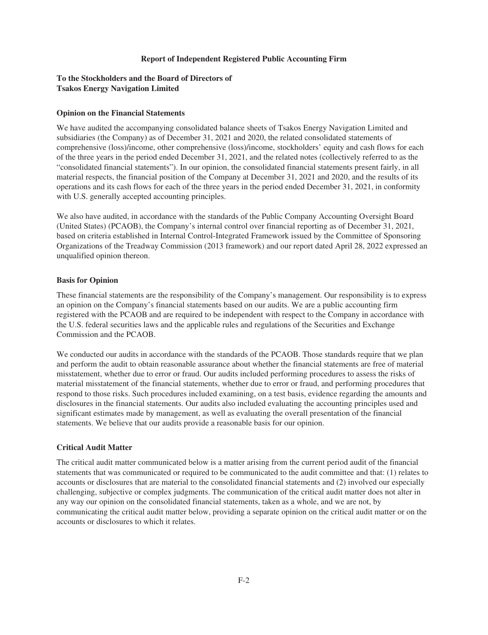#### **Report of Independent Registered Public Accounting Firm**

### <span id="page-2-0"></span>**To the Stockholders and the Board of Directors of Tsakos Energy Navigation Limited**

#### **Opinion on the Financial Statements**

We have audited the accompanying consolidated balance sheets of Tsakos Energy Navigation Limited and subsidiaries (the Company) as of December 31, 2021 and 2020, the related consolidated statements of comprehensive (loss)/income, other comprehensive (loss)/income, stockholders' equity and cash flows for each of the three years in the period ended December 31, 2021, and the related notes (collectively referred to as the "consolidated financial statements"). In our opinion, the consolidated financial statements present fairly, in all material respects, the financial position of the Company at December 31, 2021 and 2020, and the results of its operations and its cash flows for each of the three years in the period ended December 31, 2021, in conformity with U.S. generally accepted accounting principles.

We also have audited, in accordance with the standards of the Public Company Accounting Oversight Board (United States) (PCAOB), the Company's internal control over financial reporting as of December 31, 2021, based on criteria established in Internal Control-Integrated Framework issued by the Committee of Sponsoring Organizations of the Treadway Commission (2013 framework) and our report dated April 28, 2022 expressed an unqualified opinion thereon.

### **Basis for Opinion**

These financial statements are the responsibility of the Company's management. Our responsibility is to express an opinion on the Company's financial statements based on our audits. We are a public accounting firm registered with the PCAOB and are required to be independent with respect to the Company in accordance with the U.S. federal securities laws and the applicable rules and regulations of the Securities and Exchange Commission and the PCAOB.

We conducted our audits in accordance with the standards of the PCAOB. Those standards require that we plan and perform the audit to obtain reasonable assurance about whether the financial statements are free of material misstatement, whether due to error or fraud. Our audits included performing procedures to assess the risks of material misstatement of the financial statements, whether due to error or fraud, and performing procedures that respond to those risks. Such procedures included examining, on a test basis, evidence regarding the amounts and disclosures in the financial statements. Our audits also included evaluating the accounting principles used and significant estimates made by management, as well as evaluating the overall presentation of the financial statements. We believe that our audits provide a reasonable basis for our opinion.

#### **Critical Audit Matter**

The critical audit matter communicated below is a matter arising from the current period audit of the financial statements that was communicated or required to be communicated to the audit committee and that: (1) relates to accounts or disclosures that are material to the consolidated financial statements and (2) involved our especially challenging, subjective or complex judgments. The communication of the critical audit matter does not alter in any way our opinion on the consolidated financial statements, taken as a whole, and we are not, by communicating the critical audit matter below, providing a separate opinion on the critical audit matter or on the accounts or disclosures to which it relates.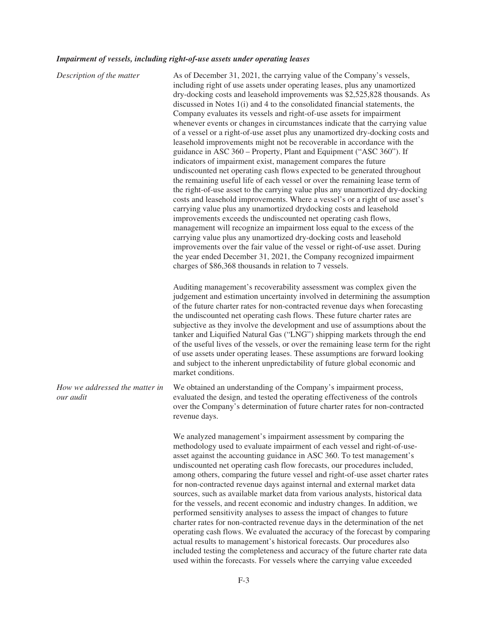# *Impairment of vessels, including right-of-use assets under operating leases*

| Description of the matter                   | As of December 31, 2021, the carrying value of the Company's vessels,<br>including right of use assets under operating leases, plus any unamortized<br>dry-docking costs and leasehold improvements was \$2,525,828 thousands. As<br>discussed in Notes 1(i) and 4 to the consolidated financial statements, the<br>Company evaluates its vessels and right-of-use assets for impairment<br>whenever events or changes in circumstances indicate that the carrying value<br>of a vessel or a right-of-use asset plus any unamortized dry-docking costs and<br>leasehold improvements might not be recoverable in accordance with the<br>guidance in ASC 360 – Property, Plant and Equipment ("ASC 360"). If<br>indicators of impairment exist, management compares the future<br>undiscounted net operating cash flows expected to be generated throughout<br>the remaining useful life of each vessel or over the remaining lease term of<br>the right-of-use asset to the carrying value plus any unamortized dry-docking<br>costs and leasehold improvements. Where a vessel's or a right of use asset's<br>carrying value plus any unamortized drydocking costs and leasehold<br>improvements exceeds the undiscounted net operating cash flows,<br>management will recognize an impairment loss equal to the excess of the<br>carrying value plus any unamortized dry-docking costs and leasehold<br>improvements over the fair value of the vessel or right-of-use asset. During<br>the year ended December 31, 2021, the Company recognized impairment<br>charges of \$86,368 thousands in relation to 7 vessels. |
|---------------------------------------------|--------------------------------------------------------------------------------------------------------------------------------------------------------------------------------------------------------------------------------------------------------------------------------------------------------------------------------------------------------------------------------------------------------------------------------------------------------------------------------------------------------------------------------------------------------------------------------------------------------------------------------------------------------------------------------------------------------------------------------------------------------------------------------------------------------------------------------------------------------------------------------------------------------------------------------------------------------------------------------------------------------------------------------------------------------------------------------------------------------------------------------------------------------------------------------------------------------------------------------------------------------------------------------------------------------------------------------------------------------------------------------------------------------------------------------------------------------------------------------------------------------------------------------------------------------------------------------------------------------------------------|
|                                             | Auditing management's recoverability assessment was complex given the<br>judgement and estimation uncertainty involved in determining the assumption<br>of the future charter rates for non-contracted revenue days when forecasting<br>the undiscounted net operating cash flows. These future charter rates are<br>subjective as they involve the development and use of assumptions about the<br>tanker and Liquified Natural Gas ("LNG") shipping markets through the end<br>of the useful lives of the vessels, or over the remaining lease term for the right<br>of use assets under operating leases. These assumptions are forward looking<br>and subject to the inherent unpredictability of future global economic and<br>market conditions.                                                                                                                                                                                                                                                                                                                                                                                                                                                                                                                                                                                                                                                                                                                                                                                                                                                                   |
| How we addressed the matter in<br>our audit | We obtained an understanding of the Company's impairment process,<br>evaluated the design, and tested the operating effectiveness of the controls<br>over the Company's determination of future charter rates for non-contracted<br>revenue days.                                                                                                                                                                                                                                                                                                                                                                                                                                                                                                                                                                                                                                                                                                                                                                                                                                                                                                                                                                                                                                                                                                                                                                                                                                                                                                                                                                        |
|                                             | We analyzed management's impairment assessment by comparing the<br>methodology used to evaluate impairment of each vessel and right-of-use-<br>asset against the accounting guidance in ASC 360. To test management's<br>undiscounted net operating cash flow forecasts, our procedures included,<br>among others, comparing the future vessel and right-of-use asset charter rates<br>for non-contracted revenue days against internal and external market data<br>sources, such as available market data from various analysts, historical data<br>for the vessels, and recent economic and industry changes. In addition, we<br>performed sensitivity analyses to assess the impact of changes to future<br>charter rates for non-contracted revenue days in the determination of the net<br>operating cash flows. We evaluated the accuracy of the forecast by comparing<br>actual results to management's historical forecasts. Our procedures also<br>included testing the completeness and accuracy of the future charter rate data<br>used within the forecasts. For vessels where the carrying value exceeded                                                                                                                                                                                                                                                                                                                                                                                                                                                                                                   |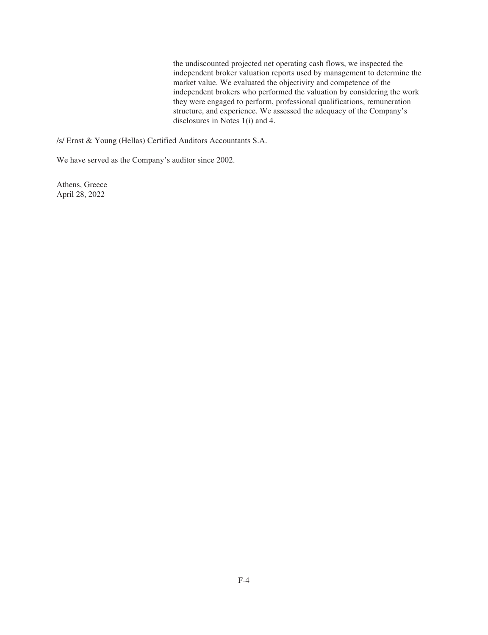the undiscounted projected net operating cash flows, we inspected the independent broker valuation reports used by management to determine the market value. We evaluated the objectivity and competence of the independent brokers who performed the valuation by considering the work they were engaged to perform, professional qualifications, remuneration structure, and experience. We assessed the adequacy of the Company's disclosures in Notes 1(i) and 4.

/s/ Ernst & Young (Hellas) Certified Auditors Accountants S.A.

We have served as the Company's auditor since 2002.

Athens, Greece April 28, 2022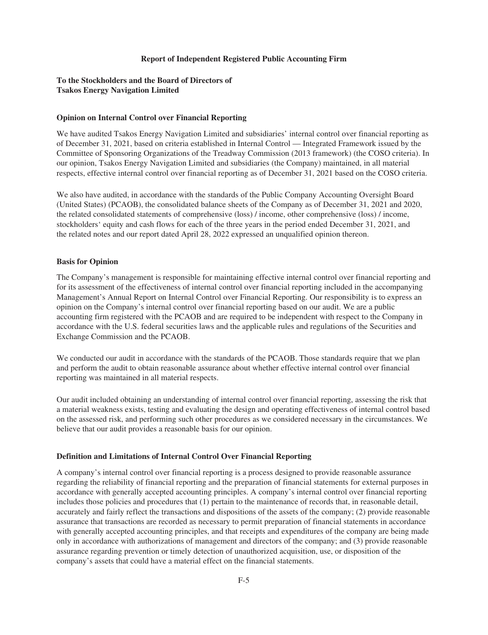#### **Report of Independent Registered Public Accounting Firm**

### **To the Stockholders and the Board of Directors of Tsakos Energy Navigation Limited**

#### **Opinion on Internal Control over Financial Reporting**

We have audited Tsakos Energy Navigation Limited and subsidiaries' internal control over financial reporting as of December 31, 2021, based on criteria established in Internal Control — Integrated Framework issued by the Committee of Sponsoring Organizations of the Treadway Commission (2013 framework) (the COSO criteria). In our opinion, Tsakos Energy Navigation Limited and subsidiaries (the Company) maintained, in all material respects, effective internal control over financial reporting as of December 31, 2021 based on the COSO criteria.

We also have audited, in accordance with the standards of the Public Company Accounting Oversight Board (United States) (PCAOB), the consolidated balance sheets of the Company as of December 31, 2021 and 2020, the related consolidated statements of comprehensive (loss) / income, other comprehensive (loss) / income, stockholders' equity and cash flows for each of the three years in the period ended December 31, 2021, and the related notes and our report dated April 28, 2022 expressed an unqualified opinion thereon.

#### **Basis for Opinion**

The Company's management is responsible for maintaining effective internal control over financial reporting and for its assessment of the effectiveness of internal control over financial reporting included in the accompanying Management's Annual Report on Internal Control over Financial Reporting. Our responsibility is to express an opinion on the Company's internal control over financial reporting based on our audit. We are a public accounting firm registered with the PCAOB and are required to be independent with respect to the Company in accordance with the U.S. federal securities laws and the applicable rules and regulations of the Securities and Exchange Commission and the PCAOB.

We conducted our audit in accordance with the standards of the PCAOB. Those standards require that we plan and perform the audit to obtain reasonable assurance about whether effective internal control over financial reporting was maintained in all material respects.

Our audit included obtaining an understanding of internal control over financial reporting, assessing the risk that a material weakness exists, testing and evaluating the design and operating effectiveness of internal control based on the assessed risk, and performing such other procedures as we considered necessary in the circumstances. We believe that our audit provides a reasonable basis for our opinion.

#### **Definition and Limitations of Internal Control Over Financial Reporting**

A company's internal control over financial reporting is a process designed to provide reasonable assurance regarding the reliability of financial reporting and the preparation of financial statements for external purposes in accordance with generally accepted accounting principles. A company's internal control over financial reporting includes those policies and procedures that (1) pertain to the maintenance of records that, in reasonable detail, accurately and fairly reflect the transactions and dispositions of the assets of the company; (2) provide reasonable assurance that transactions are recorded as necessary to permit preparation of financial statements in accordance with generally accepted accounting principles, and that receipts and expenditures of the company are being made only in accordance with authorizations of management and directors of the company; and (3) provide reasonable assurance regarding prevention or timely detection of unauthorized acquisition, use, or disposition of the company's assets that could have a material effect on the financial statements.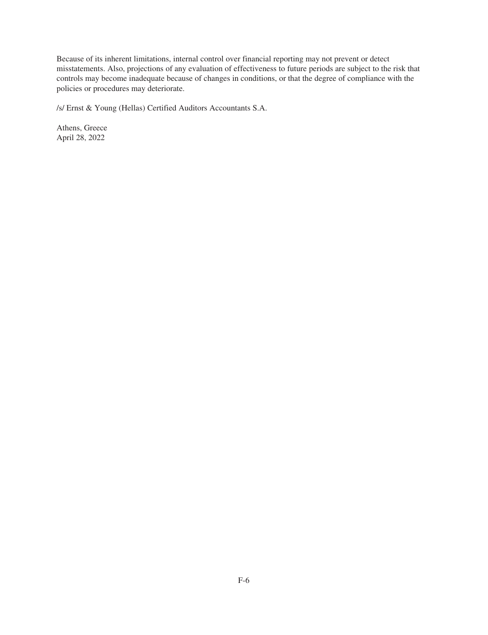Because of its inherent limitations, internal control over financial reporting may not prevent or detect misstatements. Also, projections of any evaluation of effectiveness to future periods are subject to the risk that controls may become inadequate because of changes in conditions, or that the degree of compliance with the policies or procedures may deteriorate.

/s/ Ernst & Young (Hellas) Certified Auditors Accountants S.A.

Athens, Greece April 28, 2022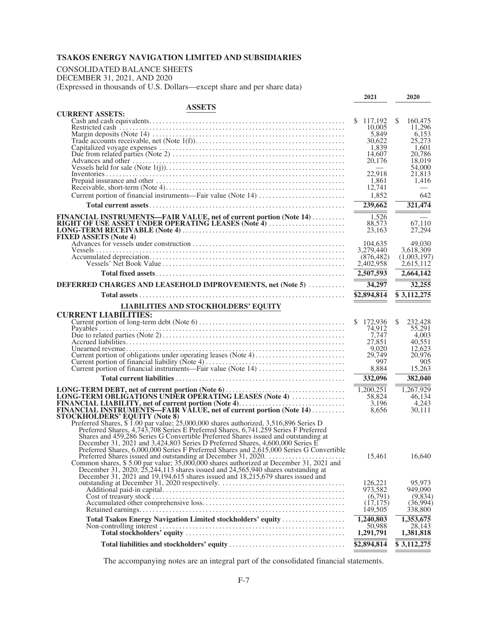<span id="page-7-0"></span>CONSOLIDATED BALANCE SHEETS

DECEMBER 31, 2021, AND 2020

(Expressed in thousands of U.S. Dollars—except share and per share data)

|                                                                                                                                                                           | 2021                    | 2020                     |
|---------------------------------------------------------------------------------------------------------------------------------------------------------------------------|-------------------------|--------------------------|
| <b>ASSETS</b>                                                                                                                                                             |                         |                          |
| <b>CURRENT ASSETS:</b>                                                                                                                                                    |                         |                          |
|                                                                                                                                                                           | 117,192<br>S<br>10,005  | \$<br>160,475<br>11,296  |
|                                                                                                                                                                           | 5,849                   | 6,153                    |
|                                                                                                                                                                           | 30.622                  | 25,273                   |
|                                                                                                                                                                           | 1,839<br>14,607         | 1.601<br>20,786          |
|                                                                                                                                                                           | 20,176                  | 18,019                   |
|                                                                                                                                                                           |                         | 54,000                   |
|                                                                                                                                                                           | 22.918<br>1.861         | 21.813<br>1,416          |
|                                                                                                                                                                           | 12,741                  |                          |
|                                                                                                                                                                           | 1.852                   | 642                      |
|                                                                                                                                                                           | 239,662                 | 321,474                  |
| FINANCIAL INSTRUMENTS-FAIR VALUE, net of current portion (Note 14)                                                                                                        | 1,526                   |                          |
| RIGHT OF USE ASSET UNDER OPERATING LEASES (Note 4)                                                                                                                        | 88,573                  | 67.110                   |
| <b>FIXED ASSETS (Note 4)</b>                                                                                                                                              | 23,163                  | 27,294                   |
|                                                                                                                                                                           | 104,635                 | 49,030                   |
|                                                                                                                                                                           | 3,279,440               | 3,618,309                |
|                                                                                                                                                                           | (876, 482)<br>2,402,958 | (1.003.197)<br>2,615,112 |
|                                                                                                                                                                           | 2,507,593               | 2,664,142                |
| DEFERRED CHARGES AND LEASEHOLD IMPROVEMENTS, net (Note 5)                                                                                                                 | 34,297                  | 32,255                   |
| Total assets $\ldots$ $\ldots$ $\ldots$ $\ldots$ $\ldots$ $\ldots$ $\ldots$ $\ldots$ $\ldots$ $\ldots$ $\ldots$ $\ldots$ $\ldots$                                         | \$2,894,814             | \$3,112,275              |
|                                                                                                                                                                           |                         |                          |
| LIABILITIES AND STOCKHOLDERS' EQUITY                                                                                                                                      |                         |                          |
| <b>CURRENT LIABILITIES:</b>                                                                                                                                               | 172,936                 | 232,428<br><sup>\$</sup> |
|                                                                                                                                                                           | 74.912                  | 55,291                   |
|                                                                                                                                                                           | 7,747                   | 4.003                    |
|                                                                                                                                                                           | 27,851<br>9.020         | 40,551<br>12.623         |
|                                                                                                                                                                           | 29,749                  | 20,976                   |
|                                                                                                                                                                           | 997                     | 905                      |
|                                                                                                                                                                           | 8,884                   | 15,263                   |
|                                                                                                                                                                           | 332,096                 | 382,040                  |
|                                                                                                                                                                           | 1,200,251<br>58,824     | 1,267,929<br>46.134      |
|                                                                                                                                                                           | 3.196                   | 4,243                    |
| FINANCIAL INSTRUMENTS—FAIR VALUE, net of current portion (Note 14)                                                                                                        | 8,656                   | 30,111                   |
| <b>STOCKHOLDERS' EQUITY (Note 8)</b><br>Preferred Shares, \$1.00 par value; 25,000,000 shares authorized, 3,516,896 Series D                                              |                         |                          |
| Preferred Shares, 4,743,708 Series E Preferred Shares, 6,741,259 Series F Preferred                                                                                       |                         |                          |
| Shares and 459,286 Series G Convertible Preferred Shares issued and outstanding at                                                                                        |                         |                          |
| December 31, 2021 and 3,424,803 Series D Preferred Shares, 4,600,000 Series E<br>Preferred Shares, 6,000,000 Series F Preferred Shares and 2,615,000 Series G Convertible |                         |                          |
|                                                                                                                                                                           | 15,461                  | 16.640                   |
| Common shares, \$5.00 par value; 35,000,000 shares authorized at December 31, 2021 and                                                                                    |                         |                          |
| December 31, 2020; 25,244,113 shares issued and 24,565,940 shares outstanding at<br>December 31, 2021 and 19, 194, 615 shares issued and $18,215,679$ shares issued and   |                         |                          |
|                                                                                                                                                                           | 126,221                 | 95,973                   |
|                                                                                                                                                                           | 973,582                 | 949,090                  |
|                                                                                                                                                                           | (6,791)<br>(17, 175)    | (9,834)<br>(36.994)      |
|                                                                                                                                                                           | 149,505                 | 338,800                  |
| Total Tsakos Energy Navigation Limited stockholders' equity                                                                                                               | 1,240,803               | 1,353,675                |
|                                                                                                                                                                           | 50,988                  | 28.143                   |
|                                                                                                                                                                           | 1,291,791               | 1,381,818                |
|                                                                                                                                                                           | \$2,894,814             | \$3,112,275              |

The accompanying notes are an integral part of the consolidated financial statements.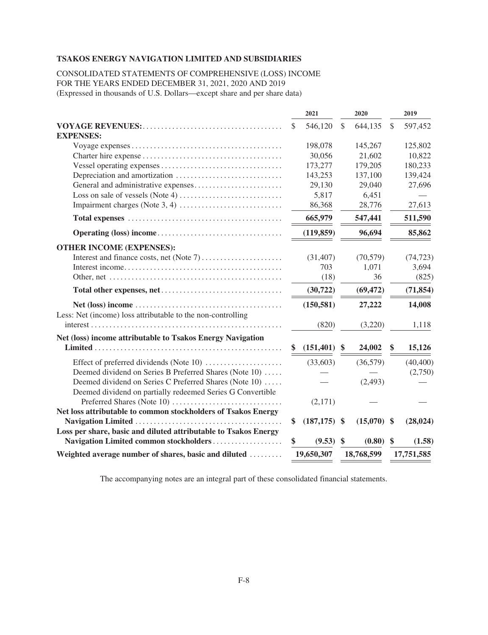<span id="page-8-0"></span>CONSOLIDATED STATEMENTS OF COMPREHENSIVE (LOSS) INCOME FOR THE YEARS ENDED DECEMBER 31, 2021, 2020 AND 2019 (Expressed in thousands of U.S. Dollars—except share and per share data)

|                                                                                                                                                                        | 2021                  | 2020          |               | 2019       |
|------------------------------------------------------------------------------------------------------------------------------------------------------------------------|-----------------------|---------------|---------------|------------|
| <b>EXPENSES:</b>                                                                                                                                                       | \$<br>546,120         | \$<br>644,135 | \$            | 597,452    |
|                                                                                                                                                                        | 198,078               | 145,267       |               | 125,802    |
|                                                                                                                                                                        | 30,056                | 21,602        |               | 10,822     |
|                                                                                                                                                                        | 173,277               | 179,205       |               | 180,233    |
|                                                                                                                                                                        | 143,253               | 137,100       |               | 139,424    |
|                                                                                                                                                                        | 29,130                | 29,040        |               | 27,696     |
|                                                                                                                                                                        | 5,817                 | 6,451         |               |            |
|                                                                                                                                                                        | 86,368                | 28,776        |               | 27,613     |
|                                                                                                                                                                        | 665,979               | 547,441       |               | 511,590    |
|                                                                                                                                                                        | (119, 859)            | 96,694        |               | 85,862     |
| <b>OTHER INCOME (EXPENSES):</b>                                                                                                                                        |                       |               |               |            |
|                                                                                                                                                                        | (31, 407)             | (70, 579)     |               | (74, 723)  |
|                                                                                                                                                                        | 703                   | 1,071         |               | 3,694      |
|                                                                                                                                                                        | (18)                  | 36            |               | (825)      |
|                                                                                                                                                                        | (30, 722)             | (69, 472)     |               | (71, 854)  |
| $Net (loss) income \dots \dots \dots \dots \dots \dots \dots \dots \dots \dots \dots \dots \dots \dots$<br>Less: Net (income) loss attributable to the non-controlling | (150, 581)            | 27,222        |               | 14,008     |
|                                                                                                                                                                        | (820)                 | (3,220)       |               | 1,118      |
| Net (loss) income attributable to Tsakos Energy Navigation                                                                                                             |                       |               |               |            |
|                                                                                                                                                                        | \$<br>(151, 401)      | \$<br>24,002  | \$            | 15,126     |
| Effect of preferred dividends (Note 10)                                                                                                                                | (33,603)              | (36,579)      |               | (40, 400)  |
| Deemed dividend on Series B Preferred Shares (Note 10)                                                                                                                 |                       |               |               | (2,750)    |
| Deemed dividend on Series C Preferred Shares (Note 10)<br>Deemed dividend on partially redeemed Series G Convertible                                                   |                       | (2, 493)      |               |            |
|                                                                                                                                                                        | (2,171)               |               |               |            |
| Net loss attributable to common stockholders of Tsakos Energy                                                                                                          |                       |               |               |            |
|                                                                                                                                                                        | \$<br>$(187, 175)$ \$ | $(15,070)$ \$ |               | (28, 024)  |
| Loss per share, basic and diluted attributable to Tsakos Energy                                                                                                        |                       |               |               |            |
| Navigation Limited common stockholders                                                                                                                                 | \$<br>$(9.53)$ \$     | (0.80)        | $\frac{1}{2}$ | (1.58)     |
| Weighted average number of shares, basic and diluted                                                                                                                   | 19,650,307            | 18,768,599    |               | 17,751,585 |

The accompanying notes are an integral part of these consolidated financial statements.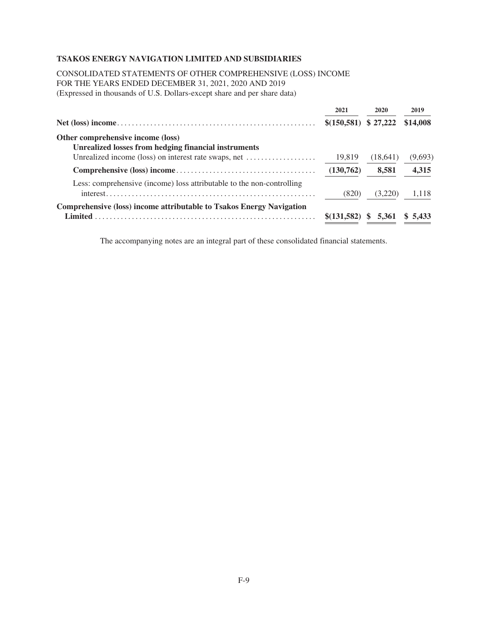<span id="page-9-0"></span>CONSOLIDATED STATEMENTS OF OTHER COMPREHENSIVE (LOSS) INCOME FOR THE YEARS ENDED DECEMBER 31, 2021, 2020 AND 2019 (Expressed in thousands of U.S. Dollars-except share and per share data)

|                                                                             | 2021                   | 2020          | 2019     |
|-----------------------------------------------------------------------------|------------------------|---------------|----------|
|                                                                             | $$(150,581)$ \$ 27,222 |               | \$14,008 |
| Other comprehensive income (loss)                                           |                        |               |          |
| Unrealized losses from hedging financial instruments                        |                        |               |          |
| Unrealized income (loss) on interest rate swaps, net                        | 19,819                 | (18,641)      | (9,693)  |
|                                                                             | (130,762)              | 8,581         | 4,315    |
| Less: comprehensive (income) loss attributable to the non-controlling       |                        |               |          |
|                                                                             | (820)                  | (3.220)       | 1.118    |
| <b>Comprehensive (loss) income attributable to Tsakos Energy Navigation</b> |                        |               |          |
| <b>Limited</b>                                                              | \$(131,582)            | 5,361<br>- \$ | \$5,433  |

The accompanying notes are an integral part of these consolidated financial statements.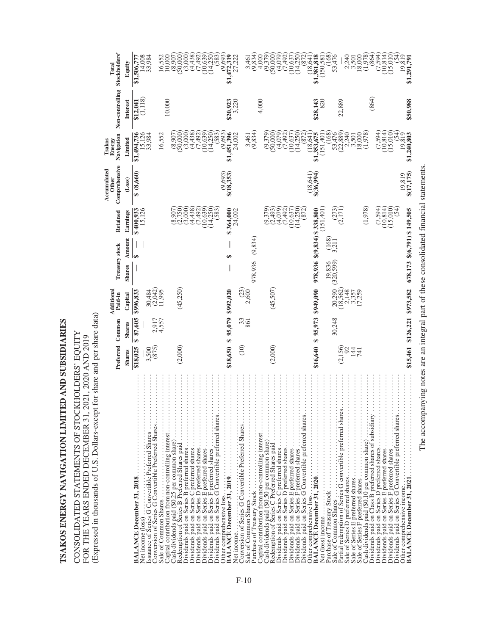CONSOLIDATED STATEMENTS OF STOCKHOLDERS' EQUITY<br>FOR THE YEARS ENDED DECEMBER 31, 2021, 2020 AND 2019<br>(Expressed in thousands of U.S. Dollars-except for share and per share data) (Expressed in thousands of U.S. Dollars-except for share and per share data) CONSOLIDATED STATEMENTS OF STOCKHOLDERS' EQUITY FOR THE YEARS ENDED DECEMBER 31, 2021, 2020 AND 2019

**TSAKOS ENERGY NAVIGATION LIMITED AND SUBSIDIARIES**

TSAKOS ENERGY NAVIGATION LIMITED AND SUBSIDIARIES

<span id="page-10-0"></span>

| Non-controlling Stockholders'<br>Total       | Equity        | \$1,506,77  | 14,008<br>33,984                                    | 16,552<br>10,000 | $(50, 00)$<br>(50,000)<br>(3,000)                                                             | $(1, 438)$<br>$(7, 492)$<br>$(10, 639)$ | 14,250)          | (583) | $(9,693)$<br>\$1,472,319 | 27,222        |                   |       |                   | (4,079)            | $(14, 25)$<br>$(16, 637)$<br>$(14, 250)$ | (872)         | $\begin{array}{c} (18,641) \\ (381,818) \\ (150,581) \end{array}$<br>5 |         | (168)<br>53,476                                                                     | 2,240                                                                             | 3,501<br>18,000 | (1,978) | (864)<br>7,594 | 10, 814<br>15,010                                         | 19,819 | \$1,291,791                 |
|----------------------------------------------|---------------|-------------|-----------------------------------------------------|------------------|-----------------------------------------------------------------------------------------------|-----------------------------------------|------------------|-------|--------------------------|---------------|-------------------|-------|-------------------|--------------------|------------------------------------------|---------------|------------------------------------------------------------------------|---------|-------------------------------------------------------------------------------------|-----------------------------------------------------------------------------------|-----------------|---------|----------------|-----------------------------------------------------------|--------|-----------------------------|
|                                              | Interest      | \$12,041    | (1,118)                                             | 10,000           |                                                                                               |                                         |                  |       | \$20,923<br>3,220        |               |                   | 4,000 |                   |                    |                                          |               | \$28,143                                                               |         |                                                                                     | 22,889                                                                            |                 |         | (864)          |                                                           |        | \$50,988                    |
| Navigation<br>Tsakos<br>Energy               | Limited       | \$1,494,736 | 15,126<br>33,984                                    | 16,552           | 50,000<br>(3,000)<br>(8,907)                                                                  | 3823939                                 | 14,250           | (583) | $(9,693)$<br>\$1,451,396 | 24,002        | (9, 834)<br>3,461 |       | (9,379)<br>50,000 | (4,079)            | $(7,492)$<br>$(10,637)$<br>$(14,250)$    | (872          | 18,641                                                                 | 353,675 | (168)                                                                               | $53,489$<br>$(2,389)$<br>$(2,39)$<br>$(3,39)$<br>$(3,39)$<br>$(3,39)$<br>$(3,39)$ |                 | (1,978) |                | (15,010)<br>$(10,814)$<br>(10,814)                        | (54)   | 19,819<br>\$1,240,803       |
| Comprehensive<br>Accumulated<br><b>Other</b> | (Loss)        | \$ (8,660)  |                                                     |                  |                                                                                               |                                         |                  |       | $(9,693)$ \$(18,353)     |               |                   |       |                   |                    |                                          |               | $(18,641)$<br>\$(36,994)                                               |         |                                                                                     |                                                                                   |                 |         |                |                                                           |        | 19,819<br>\$(17,175)        |
| Retained                                     | Earnings      | \$400,933   | 15.126                                              |                  | (2,750)                                                                                       | $(3,000)$<br>$(1,492)$<br>$(7,492)$     | 10,639<br>14,250 | 583   | \$364,000                | 24,002        |                   |       | (2, 493)          | (4,079)<br>(7,492) | 10,637                                   | 14,250<br>872 |                                                                        |         | $\frac{(273)}{(2171)}$                                                              |                                                                                   |                 | (1,978) |                | $\begin{pmatrix} 7,594 \\ 10,814 \end{pmatrix}$<br>15,010 | (54)   | 678,173 \$(6,791) \$149,505 |
| Treasury stock                               | Amount        |             |                                                     |                  |                                                                                               |                                         |                  |       |                          |               | (9, 834)          |       |                   |                    |                                          |               |                                                                        |         | $\frac{(168)}{3,211}$                                                               |                                                                                   |                 |         |                |                                                           |        |                             |
|                                              | <b>Shares</b> |             |                                                     |                  |                                                                                               |                                         |                  |       |                          |               | 978,936           |       |                   |                    |                                          |               |                                                                        |         | 19,836<br>(320,599)                                                                 |                                                                                   |                 |         |                |                                                           |        |                             |
| Additional<br>Paid-in                        | Capital       | \$996,833   | $(2,042)$<br>$(1,995)$<br>30,484                    |                  | (45, 250)                                                                                     |                                         |                  |       | $$95,079$ \$992,020      |               | (23)              |       | (45,507)          |                    |                                          |               | \$949,090                                                              |         | 20,290                                                                              | (18, 562)<br>2,148                                                                | 3,357<br>7,259  |         |                |                                                           |        | \$126,221 \$973,582         |
| Common                                       | <b>Shares</b> | \$87,605    | 2,917<br>4,557                                      |                  |                                                                                               |                                         |                  |       |                          |               | 33                |       |                   |                    |                                          |               | 95,973<br>Ø                                                            |         | 30,248                                                                              |                                                                                   |                 |         |                |                                                           |        |                             |
| Preferred                                    | <b>Shares</b> | \$18,025    | 3,500<br>(875)                                      |                  | (2,000)                                                                                       |                                         |                  |       | \$18,650                 | $\frac{1}{2}$ |                   |       | (2,000)           |                    |                                          |               | \$16,640                                                               |         |                                                                                     | (2.156)                                                                           | 141             |         |                |                                                           |        | \$15,461                    |
|                                              |               |             | Conversion of Series G Convertible Preferred Shares |                  | Cash dividends paid (\$0.25 per common share)<br>Redemption of Series B Preferred Shares paid |                                         |                  |       |                          |               |                   |       |                   |                    |                                          |               |                                                                        |         | Sale of Common Shares<br>Partial redemption of Series G convertible preferred share | res.                                                                              |                 |         |                |                                                           |        |                             |

The accompanying notes are an integral part of these consolidated financial statements. The accompanying notes are an integral part of these consolidated financial statements.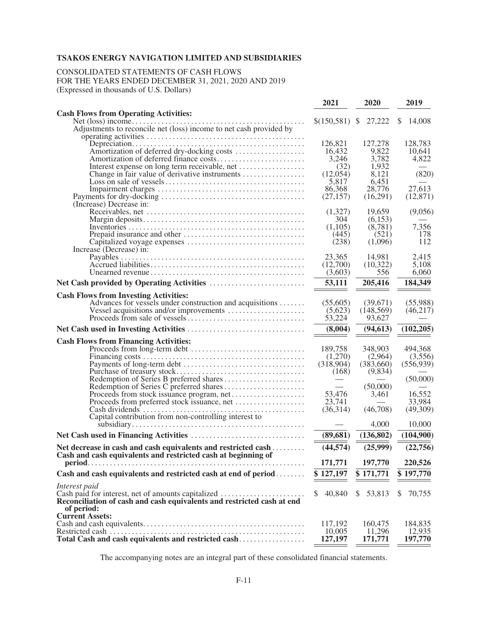<span id="page-11-0"></span>CONSOLIDATED STATEMENTS OF CASH FLOWS

FOR THE YEARS ENDED DECEMBER 31, 2021, 2020 AND 2019 (Expressed in thousands of U.S. Dollars)

|                                                                                                                                               | 2021                          | 2020                             | 2019                  |
|-----------------------------------------------------------------------------------------------------------------------------------------------|-------------------------------|----------------------------------|-----------------------|
| <b>Cash Flows from Operating Activities:</b>                                                                                                  | $$(150,581)$ \\$              | 27,222                           | \$<br>14,008          |
| Adjustments to reconcile net (loss) income to net cash provided by                                                                            |                               |                                  |                       |
|                                                                                                                                               | 126,821<br>16,432             | 127,278<br>9,822                 | 128,783<br>10.641     |
|                                                                                                                                               | 3,246                         | 3,782                            | 4,822                 |
| Interest expense on long term receivable, net<br>Change in fair value of derivative instruments                                               | (32)<br>(12,054)              | 1,932<br>8,121                   | (820)                 |
|                                                                                                                                               | 5,817<br>86,368               | 6,451<br>28,776                  | 27,613                |
| (Increase) Decrease in:                                                                                                                       | (27, 157)                     | (16,291)                         | (12, 871)             |
|                                                                                                                                               | (1,327)<br>304                | 19,659<br>(6,153)                | (9,056)               |
|                                                                                                                                               | (1,105)<br>(445)<br>(238)     | (8,781)<br>(521)<br>(1,096)      | 7,356<br>178<br>112   |
| Increase (Decrease) in:                                                                                                                       | 23,365                        | 14,981                           | 2,415                 |
|                                                                                                                                               | (12,700)<br>(3,603)           | (10, 322)<br>556                 | 5,108<br>6,060        |
|                                                                                                                                               | 53,111                        | 205,416                          | 184,349               |
| <b>Cash Flows from Investing Activities:</b>                                                                                                  |                               |                                  |                       |
| Advances for vessels under construction and acquisitions                                                                                      | (55,605)<br>(5,623)<br>53,224 | (39,671)<br>(148, 569)<br>93,627 | (55,988)<br>(46,217)  |
|                                                                                                                                               | (8,004)                       | (94, 613)                        | (102, 205)            |
| <b>Cash Flows from Financing Activities:</b>                                                                                                  |                               |                                  |                       |
|                                                                                                                                               | 189,758                       | 348,903                          | 494,368               |
|                                                                                                                                               | (1,270)<br>(318,904)          | (2,964)<br>(383,660)             | (3,556)<br>(556, 939) |
|                                                                                                                                               | (168)                         | (9,834)                          |                       |
|                                                                                                                                               |                               | (50,000)                         | (50,000)              |
|                                                                                                                                               | 53,476                        | 3,461                            | 16,552                |
|                                                                                                                                               | 23,741                        | (46,708)                         | 33,984                |
| Capital contribution from non-controlling interest to                                                                                         | (36,314)                      |                                  | (49,309)              |
|                                                                                                                                               |                               | 4,000                            | 10,000                |
|                                                                                                                                               | (89, 681)                     | (136, 802)                       | (104,900)             |
| Net decrease in cash and cash equivalents and restricted cash<br>Cash and cash equivalents and restricted cash at beginning of                | (44, 574)                     | (25,999)                         | (22,756)              |
|                                                                                                                                               | 171,771                       | 197,770                          | 220,526               |
| Cash and cash equivalents and restricted cash at end of period                                                                                | \$127,197                     | \$171,771                        | \$197,770             |
| Interest paid<br>Cash paid for interest, net of amounts capitalized<br>Reconciliation of cash and cash equivalents and restricted cash at end | \$40,840                      | \$53,813                         | \$70,755              |
| of period:<br><b>Current Assets:</b>                                                                                                          |                               |                                  |                       |
|                                                                                                                                               | 117,192                       | 160,475                          | 184,835               |
|                                                                                                                                               | 10,005<br>127,197             | 11,296<br>171,771                | 12,935<br>197,770     |

The accompanying notes are an integral part of these consolidated financial statements.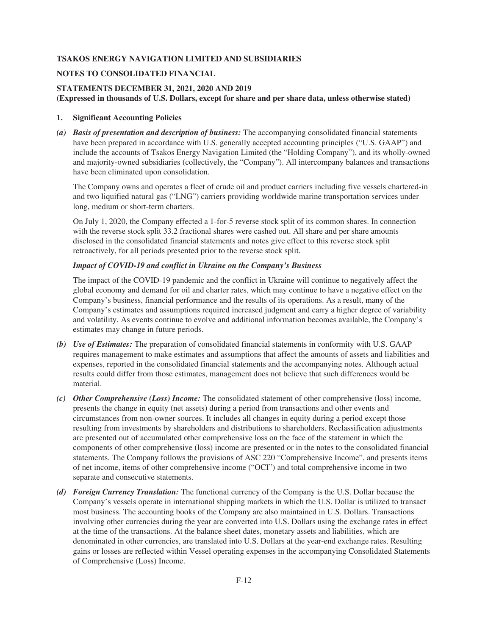### <span id="page-12-0"></span>**NOTES TO CONSOLIDATED FINANCIAL**

### **STATEMENTS DECEMBER 31, 2021, 2020 AND 2019**

**(Expressed in thousands of U.S. Dollars, except for share and per share data, unless otherwise stated)**

#### **1. Significant Accounting Policies**

*(a) Basis of presentation and description of business:* The accompanying consolidated financial statements have been prepared in accordance with U.S. generally accepted accounting principles ("U.S. GAAP") and include the accounts of Tsakos Energy Navigation Limited (the "Holding Company"), and its wholly-owned and majority-owned subsidiaries (collectively, the "Company"). All intercompany balances and transactions have been eliminated upon consolidation.

The Company owns and operates a fleet of crude oil and product carriers including five vessels chartered-in and two liquified natural gas ("LNG") carriers providing worldwide marine transportation services under long, medium or short-term charters.

On July 1, 2020, the Company effected a 1-for-5 reverse stock split of its common shares. In connection with the reverse stock split 33.2 fractional shares were cashed out. All share and per share amounts disclosed in the consolidated financial statements and notes give effect to this reverse stock split retroactively, for all periods presented prior to the reverse stock split.

### *Impact of COVID-19 and conflict in Ukraine on the Company's Business*

The impact of the COVID-19 pandemic and the conflict in Ukraine will continue to negatively affect the global economy and demand for oil and charter rates, which may continue to have a negative effect on the Company's business, financial performance and the results of its operations. As a result, many of the Company's estimates and assumptions required increased judgment and carry a higher degree of variability and volatility. As events continue to evolve and additional information becomes available, the Company's estimates may change in future periods.

- *(b) Use of Estimates:* The preparation of consolidated financial statements in conformity with U.S. GAAP requires management to make estimates and assumptions that affect the amounts of assets and liabilities and expenses, reported in the consolidated financial statements and the accompanying notes. Although actual results could differ from those estimates, management does not believe that such differences would be material.
- *(c) Other Comprehensive (Loss) Income:* The consolidated statement of other comprehensive (loss) income, presents the change in equity (net assets) during a period from transactions and other events and circumstances from non-owner sources. It includes all changes in equity during a period except those resulting from investments by shareholders and distributions to shareholders. Reclassification adjustments are presented out of accumulated other comprehensive loss on the face of the statement in which the components of other comprehensive (loss) income are presented or in the notes to the consolidated financial statements. The Company follows the provisions of ASC 220 "Comprehensive Income", and presents items of net income, items of other comprehensive income ("OCI") and total comprehensive income in two separate and consecutive statements.
- *(d) Foreign Currency Translation:* The functional currency of the Company is the U.S. Dollar because the Company's vessels operate in international shipping markets in which the U.S. Dollar is utilized to transact most business. The accounting books of the Company are also maintained in U.S. Dollars. Transactions involving other currencies during the year are converted into U.S. Dollars using the exchange rates in effect at the time of the transactions. At the balance sheet dates, monetary assets and liabilities, which are denominated in other currencies, are translated into U.S. Dollars at the year-end exchange rates. Resulting gains or losses are reflected within Vessel operating expenses in the accompanying Consolidated Statements of Comprehensive (Loss) Income.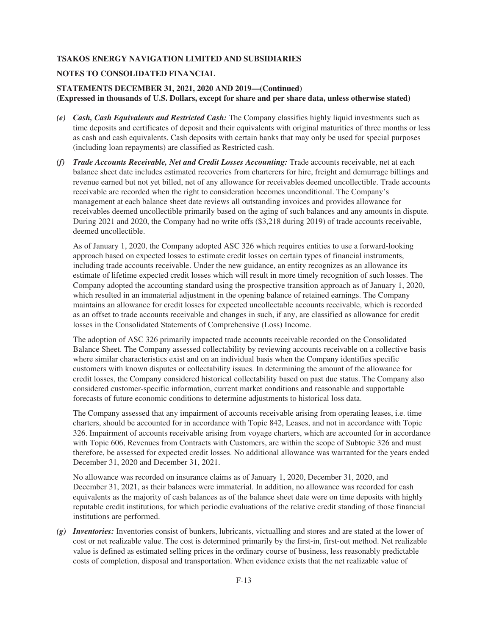### **NOTES TO CONSOLIDATED FINANCIAL**

### **STATEMENTS DECEMBER 31, 2021, 2020 AND 2019—(Continued) (Expressed in thousands of U.S. Dollars, except for share and per share data, unless otherwise stated)**

- *(e) Cash, Cash Equivalents and Restricted Cash:* The Company classifies highly liquid investments such as time deposits and certificates of deposit and their equivalents with original maturities of three months or less as cash and cash equivalents. Cash deposits with certain banks that may only be used for special purposes (including loan repayments) are classified as Restricted cash.
- *(f) Trade Accounts Receivable, Net and Credit Losses Accounting:* Trade accounts receivable, net at each balance sheet date includes estimated recoveries from charterers for hire, freight and demurrage billings and revenue earned but not yet billed, net of any allowance for receivables deemed uncollectible. Trade accounts receivable are recorded when the right to consideration becomes unconditional. The Company's management at each balance sheet date reviews all outstanding invoices and provides allowance for receivables deemed uncollectible primarily based on the aging of such balances and any amounts in dispute. During 2021 and 2020, the Company had no write offs (\$3,218 during 2019) of trade accounts receivable, deemed uncollectible.

As of January 1, 2020, the Company adopted ASC 326 which requires entities to use a forward-looking approach based on expected losses to estimate credit losses on certain types of financial instruments, including trade accounts receivable. Under the new guidance, an entity recognizes as an allowance its estimate of lifetime expected credit losses which will result in more timely recognition of such losses. The Company adopted the accounting standard using the prospective transition approach as of January 1, 2020, which resulted in an immaterial adjustment in the opening balance of retained earnings. The Company maintains an allowance for credit losses for expected uncollectable accounts receivable, which is recorded as an offset to trade accounts receivable and changes in such, if any, are classified as allowance for credit losses in the Consolidated Statements of Comprehensive (Loss) Income.

The adoption of ASC 326 primarily impacted trade accounts receivable recorded on the Consolidated Balance Sheet. The Company assessed collectability by reviewing accounts receivable on a collective basis where similar characteristics exist and on an individual basis when the Company identifies specific customers with known disputes or collectability issues. In determining the amount of the allowance for credit losses, the Company considered historical collectability based on past due status. The Company also considered customer-specific information, current market conditions and reasonable and supportable forecasts of future economic conditions to determine adjustments to historical loss data.

The Company assessed that any impairment of accounts receivable arising from operating leases, i.e. time charters, should be accounted for in accordance with Topic 842, Leases, and not in accordance with Topic 326. Impairment of accounts receivable arising from voyage charters, which are accounted for in accordance with Topic 606, Revenues from Contracts with Customers, are within the scope of Subtopic 326 and must therefore, be assessed for expected credit losses. No additional allowance was warranted for the years ended December 31, 2020 and December 31, 2021.

No allowance was recorded on insurance claims as of January 1, 2020, December 31, 2020, and December 31, 2021, as their balances were immaterial. In addition, no allowance was recorded for cash equivalents as the majority of cash balances as of the balance sheet date were on time deposits with highly reputable credit institutions, for which periodic evaluations of the relative credit standing of those financial institutions are performed.

*(g) Inventories:* Inventories consist of bunkers, lubricants, victualling and stores and are stated at the lower of cost or net realizable value. The cost is determined primarily by the first-in, first-out method. Net realizable value is defined as estimated selling prices in the ordinary course of business, less reasonably predictable costs of completion, disposal and transportation. When evidence exists that the net realizable value of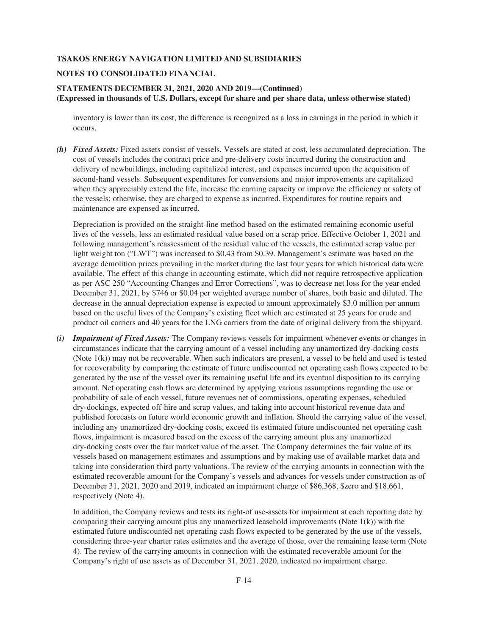### **NOTES TO CONSOLIDATED FINANCIAL**

# **STATEMENTS DECEMBER 31, 2021, 2020 AND 2019—(Continued) (Expressed in thousands of U.S. Dollars, except for share and per share data, unless otherwise stated)**

inventory is lower than its cost, the difference is recognized as a loss in earnings in the period in which it occurs.

*(h) Fixed Assets:* Fixed assets consist of vessels. Vessels are stated at cost, less accumulated depreciation. The cost of vessels includes the contract price and pre-delivery costs incurred during the construction and delivery of newbuildings, including capitalized interest, and expenses incurred upon the acquisition of second-hand vessels. Subsequent expenditures for conversions and major improvements are capitalized when they appreciably extend the life, increase the earning capacity or improve the efficiency or safety of the vessels; otherwise, they are charged to expense as incurred. Expenditures for routine repairs and maintenance are expensed as incurred.

Depreciation is provided on the straight-line method based on the estimated remaining economic useful lives of the vessels, less an estimated residual value based on a scrap price. Effective October 1, 2021 and following management's reassessment of the residual value of the vessels, the estimated scrap value per light weight ton ("LWT") was increased to \$0.43 from \$0.39. Management's estimate was based on the average demolition prices prevailing in the market during the last four years for which historical data were available. The effect of this change in accounting estimate, which did not require retrospective application as per ASC 250 "Accounting Changes and Error Corrections", was to decrease net loss for the year ended December 31, 2021, by \$746 or \$0.04 per weighted average number of shares, both basic and diluted. The decrease in the annual depreciation expense is expected to amount approximately \$3.0 million per annum based on the useful lives of the Company's existing fleet which are estimated at 25 years for crude and product oil carriers and 40 years for the LNG carriers from the date of original delivery from the shipyard.

*(i) Impairment of Fixed Assets:* The Company reviews vessels for impairment whenever events or changes in circumstances indicate that the carrying amount of a vessel including any unamortized dry-docking costs (Note 1(k)) may not be recoverable. When such indicators are present, a vessel to be held and used is tested for recoverability by comparing the estimate of future undiscounted net operating cash flows expected to be generated by the use of the vessel over its remaining useful life and its eventual disposition to its carrying amount. Net operating cash flows are determined by applying various assumptions regarding the use or probability of sale of each vessel, future revenues net of commissions, operating expenses, scheduled dry-dockings, expected off-hire and scrap values, and taking into account historical revenue data and published forecasts on future world economic growth and inflation. Should the carrying value of the vessel, including any unamortized dry-docking costs, exceed its estimated future undiscounted net operating cash flows, impairment is measured based on the excess of the carrying amount plus any unamortized dry-docking costs over the fair market value of the asset. The Company determines the fair value of its vessels based on management estimates and assumptions and by making use of available market data and taking into consideration third party valuations. The review of the carrying amounts in connection with the estimated recoverable amount for the Company's vessels and advances for vessels under construction as of December 31, 2021, 2020 and 2019, indicated an impairment charge of \$86,368, \$zero and \$18,661, respectively (Note 4).

In addition, the Company reviews and tests its right-of use-assets for impairment at each reporting date by comparing their carrying amount plus any unamortized leasehold improvements (Note 1(k)) with the estimated future undiscounted net operating cash flows expected to be generated by the use of the vessels, considering three-year charter rates estimates and the average of those, over the remaining lease term (Note 4). The review of the carrying amounts in connection with the estimated recoverable amount for the Company's right of use assets as of December 31, 2021, 2020, indicated no impairment charge.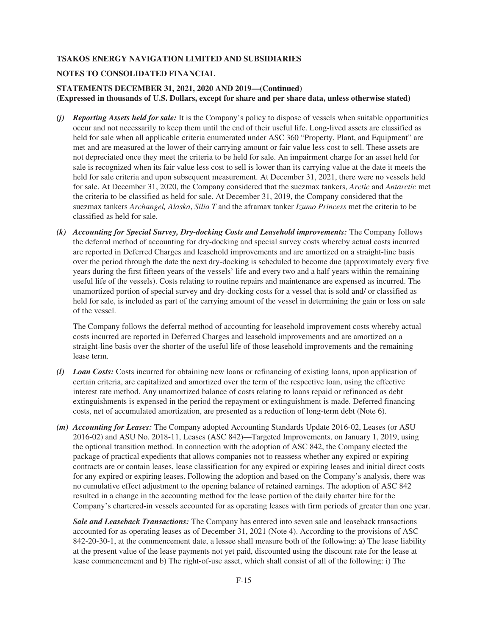#### **NOTES TO CONSOLIDATED FINANCIAL**

# **STATEMENTS DECEMBER 31, 2021, 2020 AND 2019—(Continued) (Expressed in thousands of U.S. Dollars, except for share and per share data, unless otherwise stated)**

- *(j) Reporting Assets held for sale:* It is the Company's policy to dispose of vessels when suitable opportunities occur and not necessarily to keep them until the end of their useful life. Long-lived assets are classified as held for sale when all applicable criteria enumerated under ASC 360 "Property, Plant, and Equipment" are met and are measured at the lower of their carrying amount or fair value less cost to sell. These assets are not depreciated once they meet the criteria to be held for sale. An impairment charge for an asset held for sale is recognized when its fair value less cost to sell is lower than its carrying value at the date it meets the held for sale criteria and upon subsequent measurement. At December 31, 2021, there were no vessels held for sale. At December 31, 2020, the Company considered that the suezmax tankers, *Arctic* and *Antarctic* met the criteria to be classified as held for sale. At December 31, 2019, the Company considered that the suezmax tankers *Archangel, Alaska*, *Silia T* and the aframax tanker *Izumo Princess* met the criteria to be classified as held for sale.
- *(k) Accounting for Special Survey, Dry-docking Costs and Leasehold improvements:* The Company follows the deferral method of accounting for dry-docking and special survey costs whereby actual costs incurred are reported in Deferred Charges and leasehold improvements and are amortized on a straight-line basis over the period through the date the next dry-docking is scheduled to become due (approximately every five years during the first fifteen years of the vessels' life and every two and a half years within the remaining useful life of the vessels). Costs relating to routine repairs and maintenance are expensed as incurred. The unamortized portion of special survey and dry-docking costs for a vessel that is sold and/ or classified as held for sale, is included as part of the carrying amount of the vessel in determining the gain or loss on sale of the vessel.

The Company follows the deferral method of accounting for leasehold improvement costs whereby actual costs incurred are reported in Deferred Charges and leasehold improvements and are amortized on a straight-line basis over the shorter of the useful life of those leasehold improvements and the remaining lease term.

- *(l) Loan Costs:* Costs incurred for obtaining new loans or refinancing of existing loans, upon application of certain criteria, are capitalized and amortized over the term of the respective loan, using the effective interest rate method. Any unamortized balance of costs relating to loans repaid or refinanced as debt extinguishments is expensed in the period the repayment or extinguishment is made. Deferred financing costs, net of accumulated amortization, are presented as a reduction of long-term debt (Note 6).
- *(m) Accounting for Leases:* The Company adopted Accounting Standards Update 2016-02, Leases (or ASU 2016-02) and ASU No. 2018-11, Leases (ASC 842)—Targeted Improvements, on January 1, 2019, using the optional transition method. In connection with the adoption of ASC 842, the Company elected the package of practical expedients that allows companies not to reassess whether any expired or expiring contracts are or contain leases, lease classification for any expired or expiring leases and initial direct costs for any expired or expiring leases. Following the adoption and based on the Company's analysis, there was no cumulative effect adjustment to the opening balance of retained earnings. The adoption of ASC 842 resulted in a change in the accounting method for the lease portion of the daily charter hire for the Company's chartered-in vessels accounted for as operating leases with firm periods of greater than one year.

**Sale and Leaseback Transactions:** The Company has entered into seven sale and leaseback transactions accounted for as operating leases as of December 31, 2021 (Note 4). According to the provisions of ASC 842-20-30-1, at the commencement date, a lessee shall measure both of the following: a) The lease liability at the present value of the lease payments not yet paid, discounted using the discount rate for the lease at lease commencement and b) The right-of-use asset, which shall consist of all of the following: i) The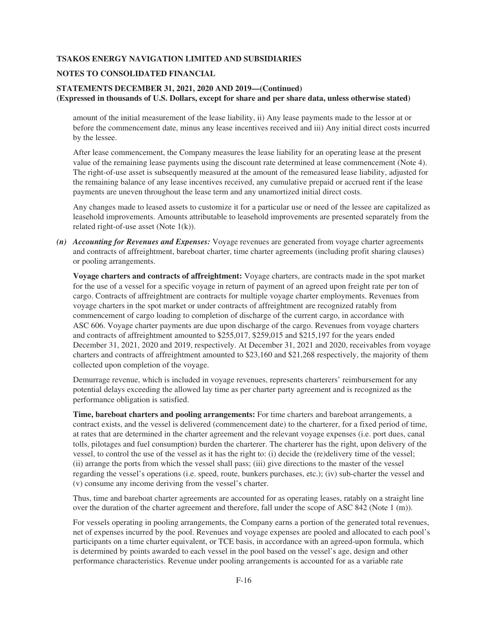#### **NOTES TO CONSOLIDATED FINANCIAL**

# **STATEMENTS DECEMBER 31, 2021, 2020 AND 2019—(Continued) (Expressed in thousands of U.S. Dollars, except for share and per share data, unless otherwise stated)**

amount of the initial measurement of the lease liability, ii) Any lease payments made to the lessor at or before the commencement date, minus any lease incentives received and iii) Any initial direct costs incurred by the lessee.

After lease commencement, the Company measures the lease liability for an operating lease at the present value of the remaining lease payments using the discount rate determined at lease commencement (Note 4). The right-of-use asset is subsequently measured at the amount of the remeasured lease liability, adjusted for the remaining balance of any lease incentives received, any cumulative prepaid or accrued rent if the lease payments are uneven throughout the lease term and any unamortized initial direct costs.

Any changes made to leased assets to customize it for a particular use or need of the lessee are capitalized as leasehold improvements. Amounts attributable to leasehold improvements are presented separately from the related right-of-use asset (Note  $1(k)$ ).

*(n) Accounting for Revenues and Expenses:* Voyage revenues are generated from voyage charter agreements and contracts of affreightment, bareboat charter, time charter agreements (including profit sharing clauses) or pooling arrangements.

**Voyage charters and contracts of affreightment:** Voyage charters, are contracts made in the spot market for the use of a vessel for a specific voyage in return of payment of an agreed upon freight rate per ton of cargo. Contracts of affreightment are contracts for multiple voyage charter employments. Revenues from voyage charters in the spot market or under contracts of affreightment are recognized ratably from commencement of cargo loading to completion of discharge of the current cargo, in accordance with ASC 606. Voyage charter payments are due upon discharge of the cargo. Revenues from voyage charters and contracts of affreightment amounted to \$255,017, \$259,015 and \$215,197 for the years ended December 31, 2021, 2020 and 2019, respectively. At December 31, 2021 and 2020, receivables from voyage charters and contracts of affreightment amounted to \$23,160 and \$21,268 respectively, the majority of them collected upon completion of the voyage.

Demurrage revenue, which is included in voyage revenues, represents charterers' reimbursement for any potential delays exceeding the allowed lay time as per charter party agreement and is recognized as the performance obligation is satisfied.

**Time, bareboat charters and pooling arrangements:** For time charters and bareboat arrangements, a contract exists, and the vessel is delivered (commencement date) to the charterer, for a fixed period of time, at rates that are determined in the charter agreement and the relevant voyage expenses (i.e. port dues, canal tolls, pilotages and fuel consumption) burden the charterer. The charterer has the right, upon delivery of the vessel, to control the use of the vessel as it has the right to: (i) decide the (re)delivery time of the vessel; (ii) arrange the ports from which the vessel shall pass; (iii) give directions to the master of the vessel regarding the vessel's operations (i.e. speed, route, bunkers purchases, etc.); (iv) sub-charter the vessel and (v) consume any income deriving from the vessel's charter.

Thus, time and bareboat charter agreements are accounted for as operating leases, ratably on a straight line over the duration of the charter agreement and therefore, fall under the scope of ASC 842 (Note 1 (m)).

For vessels operating in pooling arrangements, the Company earns a portion of the generated total revenues, net of expenses incurred by the pool. Revenues and voyage expenses are pooled and allocated to each pool's participants on a time charter equivalent, or TCE basis, in accordance with an agreed-upon formula, which is determined by points awarded to each vessel in the pool based on the vessel's age, design and other performance characteristics. Revenue under pooling arrangements is accounted for as a variable rate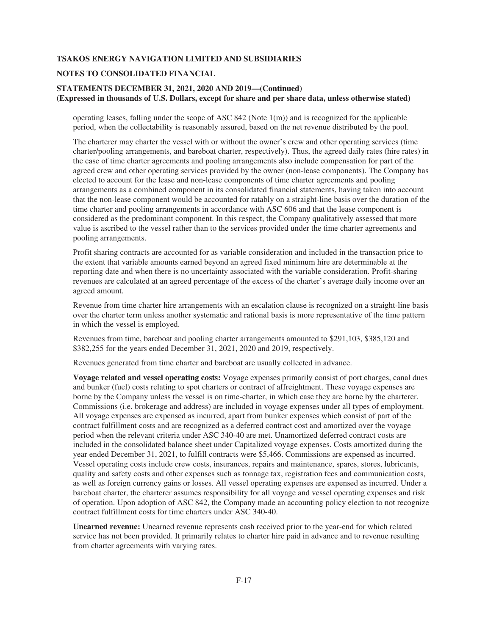#### **NOTES TO CONSOLIDATED FINANCIAL**

### **STATEMENTS DECEMBER 31, 2021, 2020 AND 2019—(Continued) (Expressed in thousands of U.S. Dollars, except for share and per share data, unless otherwise stated)**

operating leases, falling under the scope of ASC 842 (Note 1(m)) and is recognized for the applicable period, when the collectability is reasonably assured, based on the net revenue distributed by the pool.

The charterer may charter the vessel with or without the owner's crew and other operating services (time charter/pooling arrangements, and bareboat charter, respectively). Thus, the agreed daily rates (hire rates) in the case of time charter agreements and pooling arrangements also include compensation for part of the agreed crew and other operating services provided by the owner (non-lease components). The Company has elected to account for the lease and non-lease components of time charter agreements and pooling arrangements as a combined component in its consolidated financial statements, having taken into account that the non-lease component would be accounted for ratably on a straight-line basis over the duration of the time charter and pooling arrangements in accordance with ASC 606 and that the lease component is considered as the predominant component. In this respect, the Company qualitatively assessed that more value is ascribed to the vessel rather than to the services provided under the time charter agreements and pooling arrangements.

Profit sharing contracts are accounted for as variable consideration and included in the transaction price to the extent that variable amounts earned beyond an agreed fixed minimum hire are determinable at the reporting date and when there is no uncertainty associated with the variable consideration. Profit-sharing revenues are calculated at an agreed percentage of the excess of the charter's average daily income over an agreed amount.

Revenue from time charter hire arrangements with an escalation clause is recognized on a straight-line basis over the charter term unless another systematic and rational basis is more representative of the time pattern in which the vessel is employed.

Revenues from time, bareboat and pooling charter arrangements amounted to \$291,103, \$385,120 and \$382,255 for the years ended December 31, 2021, 2020 and 2019, respectively.

Revenues generated from time charter and bareboat are usually collected in advance.

**Voyage related and vessel operating costs:** Voyage expenses primarily consist of port charges, canal dues and bunker (fuel) costs relating to spot charters or contract of affreightment. These voyage expenses are borne by the Company unless the vessel is on time-charter, in which case they are borne by the charterer. Commissions (i.e. brokerage and address) are included in voyage expenses under all types of employment. All voyage expenses are expensed as incurred, apart from bunker expenses which consist of part of the contract fulfillment costs and are recognized as a deferred contract cost and amortized over the voyage period when the relevant criteria under ASC 340-40 are met. Unamortized deferred contract costs are included in the consolidated balance sheet under Capitalized voyage expenses. Costs amortized during the year ended December 31, 2021, to fulfill contracts were \$5,466. Commissions are expensed as incurred. Vessel operating costs include crew costs, insurances, repairs and maintenance, spares, stores, lubricants, quality and safety costs and other expenses such as tonnage tax, registration fees and communication costs, as well as foreign currency gains or losses. All vessel operating expenses are expensed as incurred. Under a bareboat charter, the charterer assumes responsibility for all voyage and vessel operating expenses and risk of operation. Upon adoption of ASC 842, the Company made an accounting policy election to not recognize contract fulfillment costs for time charters under ASC 340-40.

**Unearned revenue:** Unearned revenue represents cash received prior to the year-end for which related service has not been provided. It primarily relates to charter hire paid in advance and to revenue resulting from charter agreements with varying rates.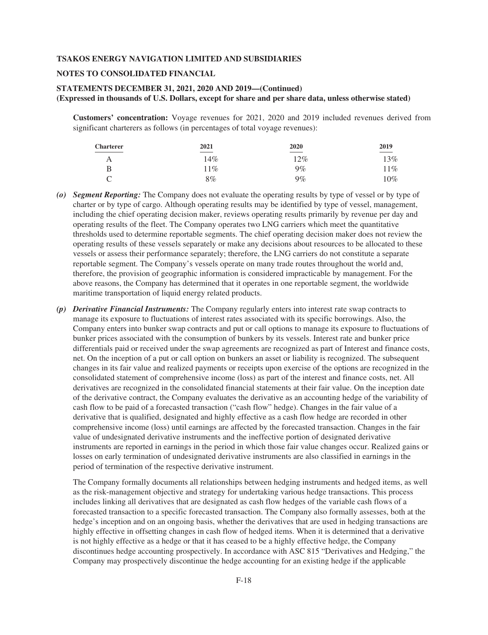### **NOTES TO CONSOLIDATED FINANCIAL**

# **STATEMENTS DECEMBER 31, 2021, 2020 AND 2019—(Continued) (Expressed in thousands of U.S. Dollars, except for share and per share data, unless otherwise stated)**

**Customers' concentration:** Voyage revenues for 2021, 2020 and 2019 included revenues derived from significant charterers as follows (in percentages of total voyage revenues):

| <b>Charterer</b> | 2021<br>__ | 2020<br>--- | 2019<br>$\overline{\phantom{a}}$ |
|------------------|------------|-------------|----------------------------------|
| А                | 14%        | 12%         | 13%                              |
| B                | $1\%$      | 9%          | 11%                              |
|                  | 8%         | 9%          | 10%                              |

- *(o) Segment Reporting:* The Company does not evaluate the operating results by type of vessel or by type of charter or by type of cargo. Although operating results may be identified by type of vessel, management, including the chief operating decision maker, reviews operating results primarily by revenue per day and operating results of the fleet. The Company operates two LNG carriers which meet the quantitative thresholds used to determine reportable segments. The chief operating decision maker does not review the operating results of these vessels separately or make any decisions about resources to be allocated to these vessels or assess their performance separately; therefore, the LNG carriers do not constitute a separate reportable segment. The Company's vessels operate on many trade routes throughout the world and, therefore, the provision of geographic information is considered impracticable by management. For the above reasons, the Company has determined that it operates in one reportable segment, the worldwide maritime transportation of liquid energy related products.
- *(p) Derivative Financial Instruments:* The Company regularly enters into interest rate swap contracts to manage its exposure to fluctuations of interest rates associated with its specific borrowings. Also, the Company enters into bunker swap contracts and put or call options to manage its exposure to fluctuations of bunker prices associated with the consumption of bunkers by its vessels. Interest rate and bunker price differentials paid or received under the swap agreements are recognized as part of Interest and finance costs, net. On the inception of a put or call option on bunkers an asset or liability is recognized. The subsequent changes in its fair value and realized payments or receipts upon exercise of the options are recognized in the consolidated statement of comprehensive income (loss) as part of the interest and finance costs, net. All derivatives are recognized in the consolidated financial statements at their fair value. On the inception date of the derivative contract, the Company evaluates the derivative as an accounting hedge of the variability of cash flow to be paid of a forecasted transaction ("cash flow" hedge). Changes in the fair value of a derivative that is qualified, designated and highly effective as a cash flow hedge are recorded in other comprehensive income (loss) until earnings are affected by the forecasted transaction. Changes in the fair value of undesignated derivative instruments and the ineffective portion of designated derivative instruments are reported in earnings in the period in which those fair value changes occur. Realized gains or losses on early termination of undesignated derivative instruments are also classified in earnings in the period of termination of the respective derivative instrument.

The Company formally documents all relationships between hedging instruments and hedged items, as well as the risk-management objective and strategy for undertaking various hedge transactions. This process includes linking all derivatives that are designated as cash flow hedges of the variable cash flows of a forecasted transaction to a specific forecasted transaction. The Company also formally assesses, both at the hedge's inception and on an ongoing basis, whether the derivatives that are used in hedging transactions are highly effective in offsetting changes in cash flow of hedged items. When it is determined that a derivative is not highly effective as a hedge or that it has ceased to be a highly effective hedge, the Company discontinues hedge accounting prospectively. In accordance with ASC 815 "Derivatives and Hedging," the Company may prospectively discontinue the hedge accounting for an existing hedge if the applicable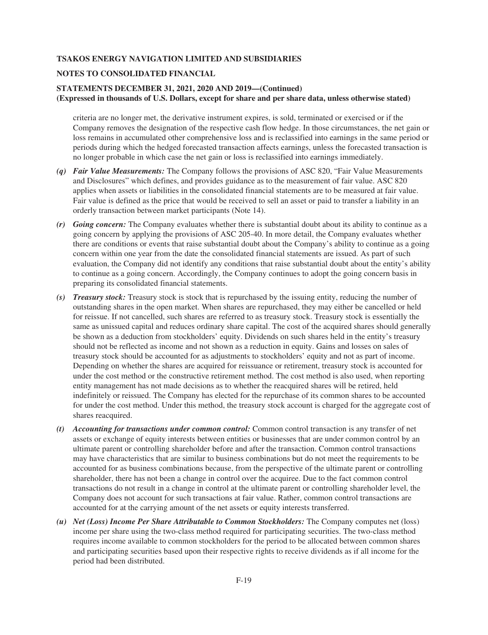#### **NOTES TO CONSOLIDATED FINANCIAL**

### **STATEMENTS DECEMBER 31, 2021, 2020 AND 2019—(Continued) (Expressed in thousands of U.S. Dollars, except for share and per share data, unless otherwise stated)**

criteria are no longer met, the derivative instrument expires, is sold, terminated or exercised or if the Company removes the designation of the respective cash flow hedge. In those circumstances, the net gain or loss remains in accumulated other comprehensive loss and is reclassified into earnings in the same period or periods during which the hedged forecasted transaction affects earnings, unless the forecasted transaction is no longer probable in which case the net gain or loss is reclassified into earnings immediately.

- *(q) Fair Value Measurements:* The Company follows the provisions of ASC 820, "Fair Value Measurements and Disclosures" which defines, and provides guidance as to the measurement of fair value. ASC 820 applies when assets or liabilities in the consolidated financial statements are to be measured at fair value. Fair value is defined as the price that would be received to sell an asset or paid to transfer a liability in an orderly transaction between market participants (Note 14).
- *(r) Going concern:* The Company evaluates whether there is substantial doubt about its ability to continue as a going concern by applying the provisions of ASC 205-40. In more detail, the Company evaluates whether there are conditions or events that raise substantial doubt about the Company's ability to continue as a going concern within one year from the date the consolidated financial statements are issued. As part of such evaluation, the Company did not identify any conditions that raise substantial doubt about the entity's ability to continue as a going concern. Accordingly, the Company continues to adopt the going concern basis in preparing its consolidated financial statements.
- *(s) Treasury stock:* Treasury stock is stock that is repurchased by the issuing entity, reducing the number of outstanding shares in the open market. When shares are repurchased, they may either be cancelled or held for reissue. If not cancelled, such shares are referred to as treasury stock. Treasury stock is essentially the same as unissued capital and reduces ordinary share capital. The cost of the acquired shares should generally be shown as a deduction from stockholders' equity. Dividends on such shares held in the entity's treasury should not be reflected as income and not shown as a reduction in equity. Gains and losses on sales of treasury stock should be accounted for as adjustments to stockholders' equity and not as part of income. Depending on whether the shares are acquired for reissuance or retirement, treasury stock is accounted for under the cost method or the constructive retirement method. The cost method is also used, when reporting entity management has not made decisions as to whether the reacquired shares will be retired, held indefinitely or reissued. The Company has elected for the repurchase of its common shares to be accounted for under the cost method. Under this method, the treasury stock account is charged for the aggregate cost of shares reacquired.
- *(t) Accounting for transactions under common control:* Common control transaction is any transfer of net assets or exchange of equity interests between entities or businesses that are under common control by an ultimate parent or controlling shareholder before and after the transaction. Common control transactions may have characteristics that are similar to business combinations but do not meet the requirements to be accounted for as business combinations because, from the perspective of the ultimate parent or controlling shareholder, there has not been a change in control over the acquiree. Due to the fact common control transactions do not result in a change in control at the ultimate parent or controlling shareholder level, the Company does not account for such transactions at fair value. Rather, common control transactions are accounted for at the carrying amount of the net assets or equity interests transferred.
- *(u) Net (Loss) Income Per Share Attributable to Common Stockholders:* The Company computes net (loss) income per share using the two-class method required for participating securities. The two-class method requires income available to common stockholders for the period to be allocated between common shares and participating securities based upon their respective rights to receive dividends as if all income for the period had been distributed.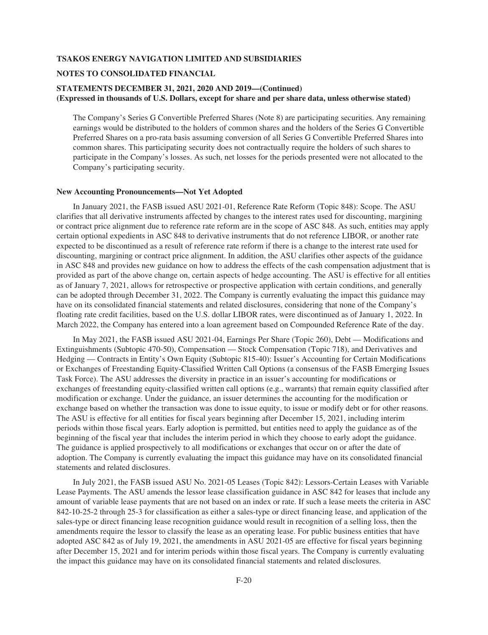#### **NOTES TO CONSOLIDATED FINANCIAL**

### **STATEMENTS DECEMBER 31, 2021, 2020 AND 2019—(Continued) (Expressed in thousands of U.S. Dollars, except for share and per share data, unless otherwise stated)**

The Company's Series G Convertible Preferred Shares (Note 8) are participating securities. Any remaining earnings would be distributed to the holders of common shares and the holders of the Series G Convertible Preferred Shares on a pro-rata basis assuming conversion of all Series G Convertible Preferred Shares into common shares. This participating security does not contractually require the holders of such shares to participate in the Company's losses. As such, net losses for the periods presented were not allocated to the Company's participating security.

#### **New Accounting Pronouncements—Not Yet Adopted**

In January 2021, the FASB issued ASU 2021-01, Reference Rate Reform (Topic 848): Scope. The ASU clarifies that all derivative instruments affected by changes to the interest rates used for discounting, margining or contract price alignment due to reference rate reform are in the scope of ASC 848. As such, entities may apply certain optional expedients in ASC 848 to derivative instruments that do not reference LIBOR, or another rate expected to be discontinued as a result of reference rate reform if there is a change to the interest rate used for discounting, margining or contract price alignment. In addition, the ASU clarifies other aspects of the guidance in ASC 848 and provides new guidance on how to address the effects of the cash compensation adjustment that is provided as part of the above change on, certain aspects of hedge accounting. The ASU is effective for all entities as of January 7, 2021, allows for retrospective or prospective application with certain conditions, and generally can be adopted through December 31, 2022. The Company is currently evaluating the impact this guidance may have on its consolidated financial statements and related disclosures, considering that none of the Company's floating rate credit facilities, based on the U.S. dollar LIBOR rates, were discontinued as of January 1, 2022. In March 2022, the Company has entered into a loan agreement based on Compounded Reference Rate of the day.

In May 2021, the FASB issued ASU 2021-04, Earnings Per Share (Topic 260), Debt — Modifications and Extinguishments (Subtopic 470-50), Compensation — Stock Compensation (Topic 718), and Derivatives and Hedging — Contracts in Entity's Own Equity (Subtopic 815-40): Issuer's Accounting for Certain Modifications or Exchanges of Freestanding Equity-Classified Written Call Options (a consensus of the FASB Emerging Issues Task Force). The ASU addresses the diversity in practice in an issuer's accounting for modifications or exchanges of freestanding equity-classified written call options (e.g., warrants) that remain equity classified after modification or exchange. Under the guidance, an issuer determines the accounting for the modification or exchange based on whether the transaction was done to issue equity, to issue or modify debt or for other reasons. The ASU is effective for all entities for fiscal years beginning after December 15, 2021, including interim periods within those fiscal years. Early adoption is permitted, but entities need to apply the guidance as of the beginning of the fiscal year that includes the interim period in which they choose to early adopt the guidance. The guidance is applied prospectively to all modifications or exchanges that occur on or after the date of adoption. The Company is currently evaluating the impact this guidance may have on its consolidated financial statements and related disclosures.

In July 2021, the FASB issued ASU No. 2021-05 Leases (Topic 842): Lessors-Certain Leases with Variable Lease Payments. The ASU amends the lessor lease classification guidance in ASC 842 for leases that include any amount of variable lease payments that are not based on an index or rate. If such a lease meets the criteria in ASC 842-10-25-2 through 25-3 for classification as either a sales-type or direct financing lease, and application of the sales-type or direct financing lease recognition guidance would result in recognition of a selling loss, then the amendments require the lessor to classify the lease as an operating lease. For public business entities that have adopted ASC 842 as of July 19, 2021, the amendments in ASU 2021-05 are effective for fiscal years beginning after December 15, 2021 and for interim periods within those fiscal years. The Company is currently evaluating the impact this guidance may have on its consolidated financial statements and related disclosures.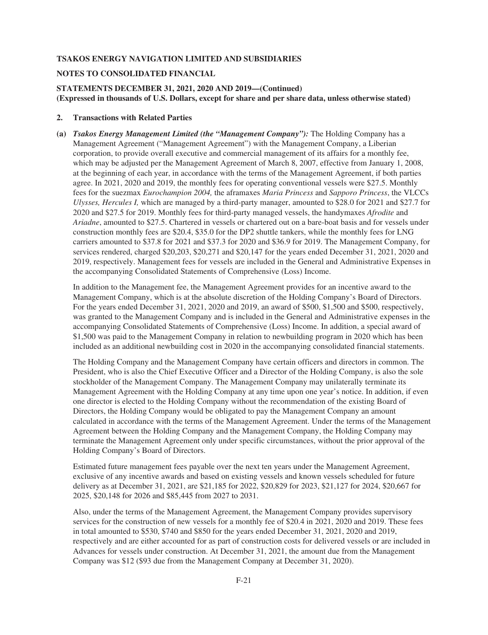### **NOTES TO CONSOLIDATED FINANCIAL**

# **STATEMENTS DECEMBER 31, 2021, 2020 AND 2019—(Continued) (Expressed in thousands of U.S. Dollars, except for share and per share data, unless otherwise stated)**

### **2. Transactions with Related Parties**

**(a)** *Tsakos Energy Management Limited (the "Management Company"):* The Holding Company has a Management Agreement ("Management Agreement") with the Management Company, a Liberian corporation, to provide overall executive and commercial management of its affairs for a monthly fee, which may be adjusted per the Management Agreement of March 8, 2007, effective from January 1, 2008, at the beginning of each year, in accordance with the terms of the Management Agreement, if both parties agree. In 2021, 2020 and 2019, the monthly fees for operating conventional vessels were \$27.5. Monthly fees for the suezmax *Eurochampion 2004,* the aframaxes *Maria Princess* and *Sapporo Princess*, the VLCCs *Ulysses, Hercules I,* which are managed by a third-party manager, amounted to \$28.0 for 2021 and \$27.7 for 2020 and \$27.5 for 2019. Monthly fees for third-party managed vessels, the handymaxes *Afrodite* and *Ariadne*, amounted to \$27.5. Chartered in vessels or chartered out on a bare-boat basis and for vessels under construction monthly fees are \$20.4, \$35.0 for the DP2 shuttle tankers, while the monthly fees for LNG carriers amounted to \$37.8 for 2021 and \$37.3 for 2020 and \$36.9 for 2019. The Management Company, for services rendered, charged \$20,203, \$20,271 and \$20,147 for the years ended December 31, 2021, 2020 and 2019, respectively. Management fees for vessels are included in the General and Administrative Expenses in the accompanying Consolidated Statements of Comprehensive (Loss) Income.

In addition to the Management fee, the Management Agreement provides for an incentive award to the Management Company, which is at the absolute discretion of the Holding Company's Board of Directors. For the years ended December 31, 2021, 2020 and 2019, an award of \$500, \$1,500 and \$500, respectively, was granted to the Management Company and is included in the General and Administrative expenses in the accompanying Consolidated Statements of Comprehensive (Loss) Income. In addition, a special award of \$1,500 was paid to the Management Company in relation to newbuilding program in 2020 which has been included as an additional newbuilding cost in 2020 in the accompanying consolidated financial statements.

The Holding Company and the Management Company have certain officers and directors in common. The President, who is also the Chief Executive Officer and a Director of the Holding Company, is also the sole stockholder of the Management Company. The Management Company may unilaterally terminate its Management Agreement with the Holding Company at any time upon one year's notice. In addition, if even one director is elected to the Holding Company without the recommendation of the existing Board of Directors, the Holding Company would be obligated to pay the Management Company an amount calculated in accordance with the terms of the Management Agreement. Under the terms of the Management Agreement between the Holding Company and the Management Company, the Holding Company may terminate the Management Agreement only under specific circumstances, without the prior approval of the Holding Company's Board of Directors.

Estimated future management fees payable over the next ten years under the Management Agreement, exclusive of any incentive awards and based on existing vessels and known vessels scheduled for future delivery as at December 31, 2021, are \$21,185 for 2022, \$20,829 for 2023, \$21,127 for 2024, \$20,667 for 2025, \$20,148 for 2026 and \$85,445 from 2027 to 2031.

Also, under the terms of the Management Agreement, the Management Company provides supervisory services for the construction of new vessels for a monthly fee of \$20.4 in 2021, 2020 and 2019. These fees in total amounted to \$530, \$740 and \$850 for the years ended December 31, 2021, 2020 and 2019, respectively and are either accounted for as part of construction costs for delivered vessels or are included in Advances for vessels under construction. At December 31, 2021, the amount due from the Management Company was \$12 (\$93 due from the Management Company at December 31, 2020).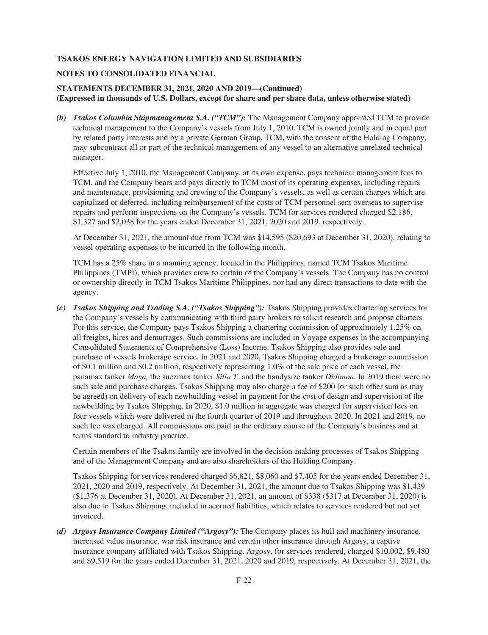### **NOTES TO CONSOLIDATED FINANCIAL**

# **STATEMENTS DECEMBER 31, 2021, 2020 AND 2019—(Continued) (Expressed in thousands of U.S. Dollars, except for share and per share data, unless otherwise stated)**

*(b) Tsakos Columbia Shipmanagement S.A. ("TCM"):* The Management Company appointed TCM to provide technical management to the Company's vessels from July 1, 2010. TCM is owned jointly and in equal part by related party interests and by a private German Group. TCM, with the consent of the Holding Company, may subcontract all or part of the technical management of any vessel to an alternative unrelated technical manager.

Effective July 1, 2010, the Management Company, at its own expense, pays technical management fees to TCM, and the Company bears and pays directly to TCM most of its operating expenses, including repairs and maintenance, provisioning and crewing of the Company's vessels, as well as certain charges which are capitalized or deferred, including reimbursement of the costs of TCM personnel sent overseas to supervise repairs and perform inspections on the Company's vessels. TCM for services rendered charged \$2,186, \$1,327 and \$2,038 for the years ended December 31, 2021, 2020 and 2019, respectively.

At December 31, 2021, the amount due from TCM was \$14,595 (\$20,693 at December 31, 2020), relating to vessel operating expenses to be incurred in the following month.

TCM has a 25% share in a manning agency, located in the Philippines, named TCM Tsakos Maritime Philippines (TMPI), which provides crew to certain of the Company's vessels. The Company has no control or ownership directly in TCM Tsakos Maritime Philippines, nor had any direct transactions to date with the agency.

*(c) Tsakos Shipping and Trading S.A. ("Tsakos Shipping"):* Tsakos Shipping provides chartering services for the Company's vessels by communicating with third party brokers to solicit research and propose charters. For this service, the Company pays Tsakos Shipping a chartering commission of approximately 1.25% on all freights, hires and demurrages. Such commissions are included in Voyage expenses in the accompanying Consolidated Statements of Comprehensive (Loss) Income. Tsakos Shipping also provides sale and purchase of vessels brokerage service. In 2021 and 2020, Tsakos Shipping charged a brokerage commission of \$0.1 million and \$0.2 million, respectively representing 1.0% of the sale price of each vessel, the panamax tanker *Maya,* the suezmax tanker *Silia T*. and the handysize tanker *Didimon*. In 2019 there were no such sale and purchase charges. Tsakos Shipping may also charge a fee of \$200 (or such other sum as may be agreed) on delivery of each newbuilding vessel in payment for the cost of design and supervision of the newbuilding by Tsakos Shipping. In 2020, \$1.0 million in aggregate was charged for supervision fees on four vessels which were delivered in the fourth quarter of 2019 and throughout 2020. In 2021 and 2019, no such fee was charged. All commissions are paid in the ordinary course of the Company's business and at terms standard to industry practice.

Certain members of the Tsakos family are involved in the decision-making processes of Tsakos Shipping and of the Management Company and are also shareholders of the Holding Company.

Tsakos Shipping for services rendered charged \$6,821, \$8,060 and \$7,405 for the years ended December 31, 2021, 2020 and 2019, respectively. At December 31, 2021, the amount due to Tsakos Shipping was \$1,439 (\$1,376 at December 31, 2020). At December 31, 2021, an amount of \$338 (\$317 at December 31, 2020) is also due to Tsakos Shipping, included in accrued liabilities, which relates to services rendered but not yet invoiced.

*(d) Argosy Insurance Company Limited ("Argosy"):* The Company places its hull and machinery insurance, increased value insurance, war risk insurance and certain other insurance through Argosy, a captive insurance company affiliated with Tsakos Shipping. Argosy, for services rendered, charged \$10,002, \$9,480 and \$9,519 for the years ended December 31, 2021, 2020 and 2019, respectively. At December 31, 2021, the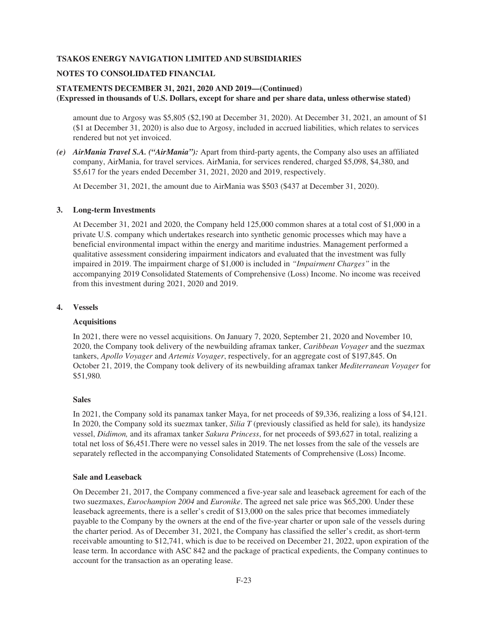### **NOTES TO CONSOLIDATED FINANCIAL**

### **STATEMENTS DECEMBER 31, 2021, 2020 AND 2019—(Continued) (Expressed in thousands of U.S. Dollars, except for share and per share data, unless otherwise stated)**

amount due to Argosy was \$5,805 (\$2,190 at December 31, 2020). At December 31, 2021, an amount of \$1 (\$1 at December 31, 2020) is also due to Argosy, included in accrued liabilities, which relates to services rendered but not yet invoiced.

*(e) AirMania Travel S.A. ("AirMania"):* Apart from third-party agents, the Company also uses an affiliated company, AirMania, for travel services. AirMania, for services rendered, charged \$5,098, \$4,380, and \$5,617 for the years ended December 31, 2021, 2020 and 2019, respectively.

At December 31, 2021, the amount due to AirMania was \$503 (\$437 at December 31, 2020).

#### **3. Long-term Investments**

At December 31, 2021 and 2020, the Company held 125,000 common shares at a total cost of \$1,000 in a private U.S. company which undertakes research into synthetic genomic processes which may have a beneficial environmental impact within the energy and maritime industries. Management performed a qualitative assessment considering impairment indicators and evaluated that the investment was fully impaired in 2019. The impairment charge of \$1,000 is included in *"Impairment Charges"* in the accompanying 2019 Consolidated Statements of Comprehensive (Loss) Income. No income was received from this investment during 2021, 2020 and 2019.

### **4. Vessels**

#### **Acquisitions**

In 2021, there were no vessel acquisitions. On January 7, 2020, September 21, 2020 and November 10, 2020, the Company took delivery of the newbuilding aframax tanker, *Caribbean Voyager* and the suezmax tankers, *Apollo Voyager* and *Artemis Voyager*, respectively, for an aggregate cost of \$197,845. On October 21, 2019, the Company took delivery of its newbuilding aframax tanker *Mediterranean Voyager* for \$51,980*.*

#### **Sales**

In 2021, the Company sold its panamax tanker Maya, for net proceeds of \$9,336, realizing a loss of \$4,121. In 2020, the Company sold its suezmax tanker, *Silia T* (previously classified as held for sale)*,* its handysize vessel, *Didimon,* and its aframax tanker *Sakura Princess*, for net proceeds of \$93,627 in total, realizing a total net loss of \$6,451.There were no vessel sales in 2019. The net losses from the sale of the vessels are separately reflected in the accompanying Consolidated Statements of Comprehensive (Loss) Income.

### **Sale and Leaseback**

On December 21, 2017, the Company commenced a five-year sale and leaseback agreement for each of the two suezmaxes, *Eurochampion 2004* and *Euronike*. The agreed net sale price was \$65,200. Under these leaseback agreements, there is a seller's credit of \$13,000 on the sales price that becomes immediately payable to the Company by the owners at the end of the five-year charter or upon sale of the vessels during the charter period. As of December 31, 2021, the Company has classified the seller's credit, as short-term receivable amounting to \$12,741, which is due to be received on December 21, 2022, upon expiration of the lease term. In accordance with ASC 842 and the package of practical expedients, the Company continues to account for the transaction as an operating lease.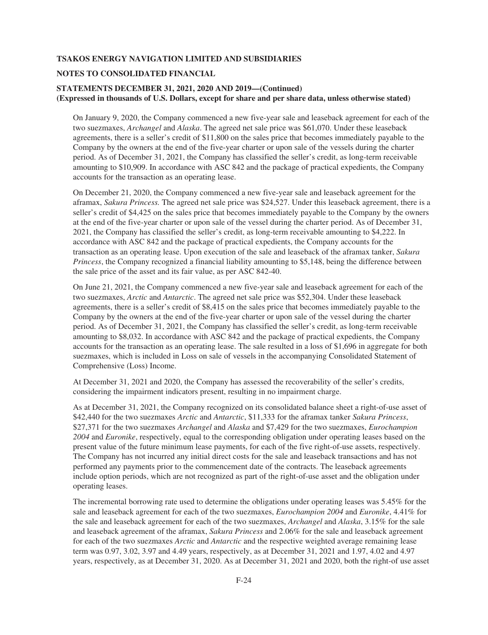### **NOTES TO CONSOLIDATED FINANCIAL**

### **STATEMENTS DECEMBER 31, 2021, 2020 AND 2019—(Continued) (Expressed in thousands of U.S. Dollars, except for share and per share data, unless otherwise stated)**

On January 9, 2020, the Company commenced a new five-year sale and leaseback agreement for each of the two suezmaxes, *Archangel* and *Alaska*. The agreed net sale price was \$61,070. Under these leaseback agreements, there is a seller's credit of \$11,800 on the sales price that becomes immediately payable to the Company by the owners at the end of the five-year charter or upon sale of the vessels during the charter period. As of December 31, 2021, the Company has classified the seller's credit, as long-term receivable amounting to \$10,909. In accordance with ASC 842 and the package of practical expedients, the Company accounts for the transaction as an operating lease.

On December 21, 2020, the Company commenced a new five-year sale and leaseback agreement for the aframax, *Sakura Princess.* The agreed net sale price was \$24,527. Under this leaseback agreement, there is a seller's credit of \$4,425 on the sales price that becomes immediately payable to the Company by the owners at the end of the five-year charter or upon sale of the vessel during the charter period. As of December 31, 2021, the Company has classified the seller's credit, as long-term receivable amounting to \$4,222. In accordance with ASC 842 and the package of practical expedients, the Company accounts for the transaction as an operating lease. Upon execution of the sale and leaseback of the aframax tanker, *Sakura Princess*, the Company recognized a financial liability amounting to \$5,148, being the difference between the sale price of the asset and its fair value, as per ASC 842-40.

On June 21, 2021, the Company commenced a new five-year sale and leaseback agreement for each of the two suezmaxes, *Arctic* and *Antarctic*. The agreed net sale price was \$52,304. Under these leaseback agreements, there is a seller's credit of \$8,415 on the sales price that becomes immediately payable to the Company by the owners at the end of the five-year charter or upon sale of the vessel during the charter period. As of December 31, 2021, the Company has classified the seller's credit, as long-term receivable amounting to \$8,032. In accordance with ASC 842 and the package of practical expedients, the Company accounts for the transaction as an operating lease. The sale resulted in a loss of \$1,696 in aggregate for both suezmaxes, which is included in Loss on sale of vessels in the accompanying Consolidated Statement of Comprehensive (Loss) Income.

At December 31, 2021 and 2020, the Company has assessed the recoverability of the seller's credits, considering the impairment indicators present, resulting in no impairment charge.

As at December 31, 2021, the Company recognized on its consolidated balance sheet a right-of-use asset of \$42,440 for the two suezmaxes *Arctic* and *Antarctic*, \$11,333 for the aframax tanker *Sakura Princess*, \$27,371 for the two suezmaxes *Archangel* and *Alaska* and \$7,429 for the two suezmaxes, *Eurochampion 2004* and *Euronike*, respectively, equal to the corresponding obligation under operating leases based on the present value of the future minimum lease payments, for each of the five right-of-use assets, respectively. The Company has not incurred any initial direct costs for the sale and leaseback transactions and has not performed any payments prior to the commencement date of the contracts. The leaseback agreements include option periods, which are not recognized as part of the right-of-use asset and the obligation under operating leases.

The incremental borrowing rate used to determine the obligations under operating leases was 5.45% for the sale and leaseback agreement for each of the two suezmaxes, *Eurochampion 2004* and *Euronike*, 4.41% for the sale and leaseback agreement for each of the two suezmaxes, *Archangel* and *Alaska*, 3.15% for the sale and leaseback agreement of the aframax, *Sakura Princess* and 2.06% for the sale and leaseback agreement for each of the two suezmaxes *Arctic* and *Antarctic* and the respective weighted average remaining lease term was 0.97, 3.02, 3.97 and 4.49 years, respectively, as at December 31, 2021 and 1.97, 4.02 and 4.97 years, respectively, as at December 31, 2020. As at December 31, 2021 and 2020, both the right-of use asset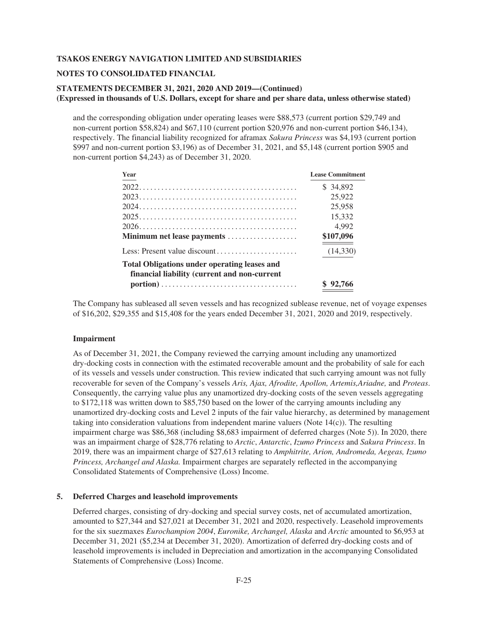#### **NOTES TO CONSOLIDATED FINANCIAL**

### **STATEMENTS DECEMBER 31, 2021, 2020 AND 2019—(Continued) (Expressed in thousands of U.S. Dollars, except for share and per share data, unless otherwise stated)**

and the corresponding obligation under operating leases were \$88,573 (current portion \$29,749 and non-current portion \$58,824) and \$67,110 (current portion \$20,976 and non-current portion \$46,134), respectively. The financial liability recognized for aframax *Sakura Princess* was \$4,193 (current portion \$997 and non-current portion \$3,196) as of December 31, 2021, and \$5,148 (current portion \$905 and non-current portion \$4,243) as of December 31, 2020.

| Year                                                | <b>Lease Commitment</b> |
|-----------------------------------------------------|-------------------------|
|                                                     | \$ 34,892               |
|                                                     | 25,922                  |
|                                                     | 25,958                  |
|                                                     | 15,332                  |
|                                                     | 4.992                   |
| Minimum net lease payments                          | \$107,096               |
|                                                     | (14,330)                |
| <b>Total Obligations under operating leases and</b> |                         |
| financial liability (current and non-current        |                         |
|                                                     | \$92.766                |

The Company has subleased all seven vessels and has recognized sublease revenue, net of voyage expenses of \$16,202, \$29,355 and \$15,408 for the years ended December 31, 2021, 2020 and 2019, respectively.

#### **Impairment**

As of December 31, 2021, the Company reviewed the carrying amount including any unamortized dry-docking costs in connection with the estimated recoverable amount and the probability of sale for each of its vessels and vessels under construction. This review indicated that such carrying amount was not fully recoverable for seven of the Company's vessels *Aris, Ajax, Afrodite, Apollon, Artemis,Ariadne,* and *Proteas*. Consequently, the carrying value plus any unamortized dry-docking costs of the seven vessels aggregating to \$172,118 was written down to \$85,750 based on the lower of the carrying amounts including any unamortized dry-docking costs and Level 2 inputs of the fair value hierarchy, as determined by management taking into consideration valuations from independent marine valuers (Note 14(c)). The resulting impairment charge was \$86,368 (including \$8,683 impairment of deferred charges (Note 5)). In 2020, there was an impairment charge of \$28,776 relating to *Arctic*, *Antarctic*, *Izumo Princess* and *Sakura Princess*. In 2019, there was an impairment charge of \$27,613 relating to *Amphitrite, Arion, Andromeda, Aegeas, Izumo Princess, Archangel and Alaska.* Impairment charges are separately reflected in the accompanying Consolidated Statements of Comprehensive (Loss) Income.

#### **5. Deferred Charges and leasehold improvements**

Deferred charges, consisting of dry-docking and special survey costs, net of accumulated amortization, amounted to \$27,344 and \$27,021 at December 31, 2021 and 2020, respectively. Leasehold improvements for the six suezmaxes *Eurochampion 2004*, *Euronike, Archangel, Alaska* and *Arctic* amounted to \$6,953 at December 31, 2021 (\$5,234 at December 31, 2020). Amortization of deferred dry-docking costs and of leasehold improvements is included in Depreciation and amortization in the accompanying Consolidated Statements of Comprehensive (Loss) Income.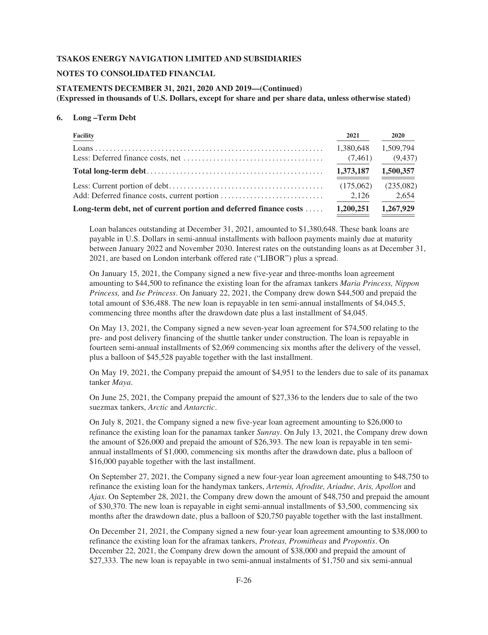#### **NOTES TO CONSOLIDATED FINANCIAL**

### **STATEMENTS DECEMBER 31, 2021, 2020 AND 2019—(Continued) (Expressed in thousands of U.S. Dollars, except for share and per share data, unless otherwise stated)**

### **6. Long –Term Debt**

| <b>Facility</b>                                                   | 2021                 | 2020                  |
|-------------------------------------------------------------------|----------------------|-----------------------|
|                                                                   | 1.380.648<br>(7,461) | 1,509,794<br>(9, 437) |
|                                                                   | 1,373,187            | 1,500,357             |
|                                                                   | (175,062)<br>2.126   | (235,082)<br>2,654    |
| Long-term debt, net of current portion and deferred finance costs | 1,200,251            | 1,267,929             |

Loan balances outstanding at December 31, 2021, amounted to \$1,380,648. These bank loans are payable in U.S. Dollars in semi-annual installments with balloon payments mainly due at maturity between January 2022 and November 2030. Interest rates on the outstanding loans as at December 31, 2021, are based on London interbank offered rate ("LIBOR") plus a spread.

On January 15, 2021, the Company signed a new five-year and three-months loan agreement amounting to \$44,500 to refinance the existing loan for the aframax tankers *Maria Princess, Nippon Princess,* and *Ise Princess*. On January 22, 2021, the Company drew down \$44,500 and prepaid the total amount of \$36,488. The new loan is repayable in ten semi-annual installments of \$4,045.5, commencing three months after the drawdown date plus a last installment of \$4,045.

On May 13, 2021, the Company signed a new seven-year loan agreement for \$74,500 relating to the pre- and post delivery financing of the shuttle tanker under construction. The loan is repayable in fourteen semi-annual installments of \$2,069 commencing six months after the delivery of the vessel, plus a balloon of \$45,528 payable together with the last installment.

On May 19, 2021, the Company prepaid the amount of \$4,951 to the lenders due to sale of its panamax tanker *Maya*.

On June 25, 2021, the Company prepaid the amount of \$27,336 to the lenders due to sale of the two suezmax tankers, *Arctic* and *Antarctic*.

On July 8, 2021, the Company signed a new five-year loan agreement amounting to \$26,000 to refinance the existing loan for the panamax tanker *Sunray*. On July 13, 2021, the Company drew down the amount of \$26,000 and prepaid the amount of \$26,393. The new loan is repayable in ten semiannual installments of \$1,000, commencing six months after the drawdown date, plus a balloon of \$16,000 payable together with the last installment.

On September 27, 2021, the Company signed a new four-year loan agreement amounting to \$48,750 to refinance the existing loan for the handymax tankers, *Artemis, Afrodite, Ariadne, Aris, Apollon* and *Ajax*. On September 28, 2021, the Company drew down the amount of \$48,750 and prepaid the amount of \$30,370. The new loan is repayable in eight semi-annual installments of \$3,500, commencing six months after the drawdown date, plus a balloon of \$20,750 payable together with the last installment.

On December 21, 2021, the Company signed a new four-year loan agreement amounting to \$38,000 to refinance the existing loan for the aframax tankers, *Proteas, Promitheas* and *Propontis*. On December 22, 2021, the Company drew down the amount of \$38,000 and prepaid the amount of \$27,333. The new loan is repayable in two semi-annual instalments of \$1,750 and six semi-annual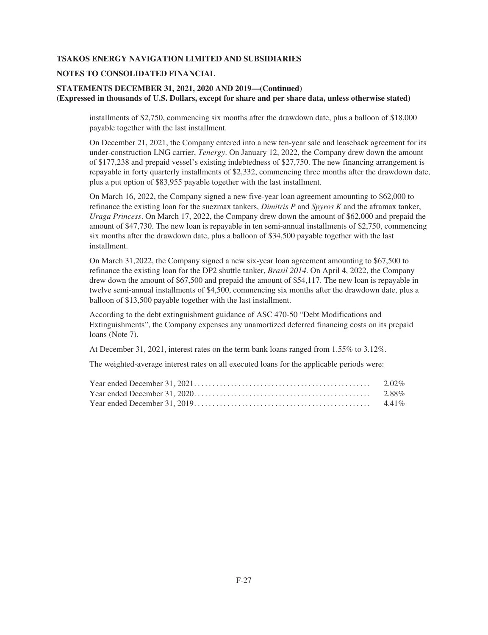### **NOTES TO CONSOLIDATED FINANCIAL**

# **STATEMENTS DECEMBER 31, 2021, 2020 AND 2019—(Continued) (Expressed in thousands of U.S. Dollars, except for share and per share data, unless otherwise stated)**

installments of \$2,750, commencing six months after the drawdown date, plus a balloon of \$18,000 payable together with the last installment.

On December 21, 2021, the Company entered into a new ten-year sale and leaseback agreement for its under-construction LNG carrier, *Tenergy*. On January 12, 2022, the Company drew down the amount of \$177,238 and prepaid vessel's existing indebtedness of \$27,750. The new financing arrangement is repayable in forty quarterly installments of \$2,332, commencing three months after the drawdown date, plus a put option of \$83,955 payable together with the last installment.

On March 16, 2022, the Company signed a new five-year loan agreement amounting to \$62,000 to refinance the existing loan for the suezmax tankers, *Dimitris P* and *Spyros K* and the aframax tanker, *Uraga Princess*. On March 17, 2022, the Company drew down the amount of \$62,000 and prepaid the amount of \$47,730. The new loan is repayable in ten semi-annual installments of \$2,750, commencing six months after the drawdown date, plus a balloon of \$34,500 payable together with the last installment.

On March 31,2022, the Company signed a new six-year loan agreement amounting to \$67,500 to refinance the existing loan for the DP2 shuttle tanker, *Brasil 2014*. On April 4, 2022, the Company drew down the amount of \$67,500 and prepaid the amount of \$54,117. The new loan is repayable in twelve semi-annual installments of \$4,500, commencing six months after the drawdown date, plus a balloon of \$13,500 payable together with the last installment.

According to the debt extinguishment guidance of ASC 470-50 "Debt Modifications and Extinguishments", the Company expenses any unamortized deferred financing costs on its prepaid loans (Note 7).

At December 31, 2021, interest rates on the term bank loans ranged from 1.55% to 3.12%.

The weighted-average interest rates on all executed loans for the applicable periods were:

| 2.02%    |
|----------|
| 2.88%    |
| $4.41\%$ |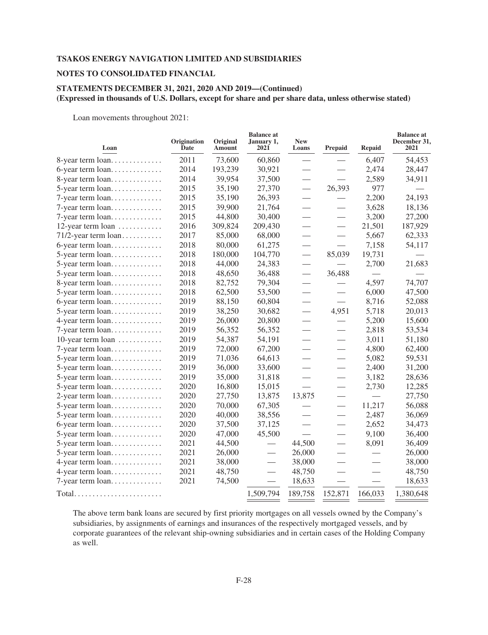### **NOTES TO CONSOLIDATED FINANCIAL**

### **STATEMENTS DECEMBER 31, 2021, 2020 AND 2019—(Continued) (Expressed in thousands of U.S. Dollars, except for share and per share data, unless otherwise stated)**

Loan movements throughout 2021:

| Loan                                              | Origination<br>Date | Original<br>Amount | <b>Balance</b> at<br>January 1,<br>2021 | <b>New</b><br>Loans             | <b>Prepaid</b>           | <b>Repaid</b> | <b>Balance</b> at<br>December 31,<br>2021 |
|---------------------------------------------------|---------------------|--------------------|-----------------------------------------|---------------------------------|--------------------------|---------------|-------------------------------------------|
| 8-year term loan                                  | 2011                | 73,600             | 60,860                                  |                                 |                          | 6,407         | 54,453                                    |
| 6-year term loan                                  | 2014                | 193,239            | 30,921                                  |                                 |                          | 2,474         | 28,447                                    |
| 8-year term loan                                  | 2014                | 39,954             | 37,500                                  |                                 | $\equiv$                 | 2,589         | 34,911                                    |
| 5-year term loan                                  | 2015                | 35,190             | 27,370                                  | $\overline{\phantom{0}}$        | 26,393                   | 977           |                                           |
| 7-year term loan                                  | 2015                | 35,190             | 26,393                                  |                                 |                          | 2,200         | 24,193                                    |
| 7-year term loan                                  | 2015                | 39,900             | 21,764                                  |                                 | —                        | 3,628         | 18,136                                    |
| 7-year term loan                                  | 2015                | 44,800             | 30,400                                  |                                 | $\overline{\phantom{0}}$ | 3,200         | 27,200                                    |
| 12-year term loan                                 | 2016                | 309,824            | 209,430                                 |                                 | $\equiv$                 | 21,501        | 187,929                                   |
| $71/2$ -year term $\text{loan}\ldots\ldots\ldots$ | 2017                | 85,000             | 68,000                                  |                                 | $\overline{\phantom{0}}$ | 5,667         | 62,333                                    |
| 6-year term loan                                  | 2018                | 80,000             | 61,275                                  |                                 | $\overline{\phantom{0}}$ | 7,158         | 54,117                                    |
| 5-year term loan                                  | 2018                | 180,000            | 104,770                                 |                                 | 85,039                   | 19,731        |                                           |
| 5-year term loan                                  | 2018                | 44,000             | 24,383                                  |                                 |                          | 2,700         | 21,683                                    |
| 5-year term loan                                  | 2018                | 48,650             | 36,488                                  | $\overbrace{\phantom{aaaaa}}$   | 36,488                   |               |                                           |
| 8-year term loan                                  | 2018                | 82,752             | 79,304                                  | $\overbrace{\qquad \qquad }^{}$ |                          | 4,597         | 74,707                                    |
| 5-year term loan                                  | 2018                | 62,500             | 53,500                                  |                                 | $\overline{\phantom{0}}$ | 6,000         | 47,500                                    |
| 6-year term loan                                  | 2019                | 88,150             | 60,804                                  | —                               | $\equiv$                 | 8,716         | 52,088                                    |
| 5-year term loan                                  | 2019                | 38,250             | 30,682                                  | $\qquad \qquad$                 | 4,951                    | 5,718         | 20,013                                    |
| 4-year term loan                                  | 2019                | 26,000             | 20,800                                  |                                 |                          | 5,200         | 15,600                                    |
| 7-year term loan                                  | 2019                | 56,352             | 56,352                                  |                                 | $\overline{\phantom{0}}$ | 2,818         | 53,534                                    |
| 10-year term loan                                 | 2019                | 54,387             | 54,191                                  |                                 |                          | 3,011         | 51,180                                    |
| 7-year term loan                                  | 2019                | 72,000             | 67,200                                  |                                 |                          | 4,800         | 62,400                                    |
| 5-year term loan                                  | 2019                | 71,036             | 64,613                                  |                                 | $\overline{\phantom{0}}$ | 5,082         | 59,531                                    |
| 5-year term loan                                  | 2019                | 36,000             | 33,600                                  |                                 |                          | 2,400         | 31,200                                    |
| 5-year term loan                                  | 2019                | 35,000             | 31,818                                  |                                 | $\overline{\phantom{0}}$ | 3,182         | 28,636                                    |
| 5-year term loan                                  | 2020                | 16,800             | 15,015                                  |                                 | $\overline{\phantom{0}}$ | 2,730         | 12,285                                    |
| 2-year term loan                                  | 2020                | 27,750             | 13,875                                  | 13,875                          |                          |               | 27,750                                    |
| 5-year term loan                                  | 2020                | 70,000             | 67,305                                  |                                 | $\overline{\phantom{0}}$ | 11,217        | 56,088                                    |
| 5-year term loan                                  | 2020                | 40,000             | 38,556                                  |                                 | $\overline{\phantom{0}}$ | 2,487         | 36,069                                    |
| 6-year term loan                                  | 2020                | 37,500             | 37,125                                  |                                 |                          | 2,652         | 34,473                                    |
| 5-year term loan                                  | 2020                | 47,000             | 45,500                                  |                                 | $\overline{\phantom{0}}$ | 9,100         | 36,400                                    |
| 5-year term loan                                  | 2021                | 44,500             |                                         | 44,500                          |                          | 8,091         | 36,409                                    |
| 5-year term loan                                  | 2021                | 26,000             |                                         | 26,000                          |                          |               | 26,000                                    |
| 4-year term loan                                  | 2021                | 38,000             | $\overline{\phantom{0}}$                | 38,000                          |                          |               | 38,000                                    |
| 4-year term loan                                  | 2021                | 48,750             |                                         | 48,750                          |                          |               | 48,750                                    |
| 7-year term loan                                  | 2021                | 74,500             |                                         | 18,633                          |                          |               | 18,633                                    |
| $Total$                                           |                     |                    | 1,509,794                               | 189,758                         | 152,871                  | 166,033       | 1,380,648                                 |

The above term bank loans are secured by first priority mortgages on all vessels owned by the Company's subsidiaries, by assignments of earnings and insurances of the respectively mortgaged vessels, and by corporate guarantees of the relevant ship-owning subsidiaries and in certain cases of the Holding Company as well.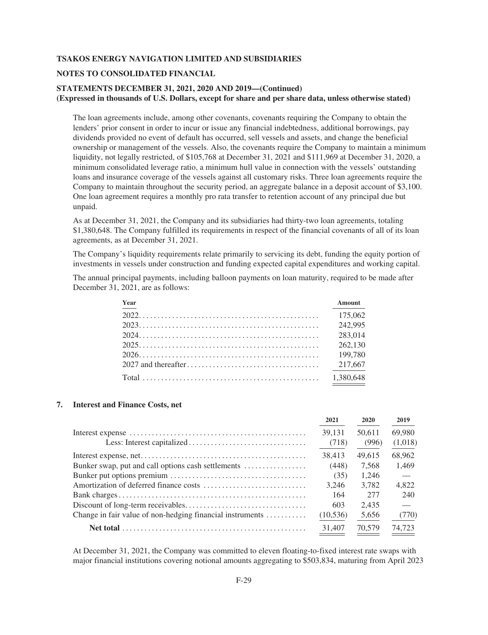#### **NOTES TO CONSOLIDATED FINANCIAL**

### **STATEMENTS DECEMBER 31, 2021, 2020 AND 2019—(Continued) (Expressed in thousands of U.S. Dollars, except for share and per share data, unless otherwise stated)**

The loan agreements include, among other covenants, covenants requiring the Company to obtain the lenders' prior consent in order to incur or issue any financial indebtedness, additional borrowings, pay dividends provided no event of default has occurred, sell vessels and assets, and change the beneficial ownership or management of the vessels. Also, the covenants require the Company to maintain a minimum liquidity, not legally restricted, of \$105,768 at December 31, 2021 and \$111,969 at December 31, 2020, a minimum consolidated leverage ratio, a minimum hull value in connection with the vessels' outstanding loans and insurance coverage of the vessels against all customary risks. Three loan agreements require the Company to maintain throughout the security period, an aggregate balance in a deposit account of \$3,100. One loan agreement requires a monthly pro rata transfer to retention account of any principal due but unpaid.

As at December 31, 2021, the Company and its subsidiaries had thirty-two loan agreements, totaling \$1,380,648. The Company fulfilled its requirements in respect of the financial covenants of all of its loan agreements, as at December 31, 2021.

The Company's liquidity requirements relate primarily to servicing its debt, funding the equity portion of investments in vessels under construction and funding expected capital expenditures and working capital.

The annual principal payments, including balloon payments on loan maturity, required to be made after December 31, 2021, are as follows:

| Year | Amount  |
|------|---------|
|      | 175,062 |
|      | 242,995 |
|      | 283,014 |
|      | 262,130 |
| 2026 | 199,780 |
|      |         |
|      |         |

### **7. Interest and Finance Costs, net**

|                                                           | 2021      | 2020   | 2019    |
|-----------------------------------------------------------|-----------|--------|---------|
|                                                           | 39,131    | 50,611 | 69,980  |
|                                                           | (718)     | (996)  | (1,018) |
|                                                           | 38.413    | 49.615 | 68,962  |
| Bunker swap, put and call options cash settlements        | (448)     | 7,568  | 1,469   |
|                                                           | (35)      | 1.246  |         |
|                                                           | 3.246     | 3.782  | 4,822   |
|                                                           | 164       | 277    | 240     |
|                                                           | 603       | 2,435  |         |
| Change in fair value of non-hedging financial instruments | (10, 536) | 5,656  | (770)   |
|                                                           | 31,407    | 70.579 | 74.723  |

At December 31, 2021, the Company was committed to eleven floating-to-fixed interest rate swaps with major financial institutions covering notional amounts aggregating to \$503,834, maturing from April 2023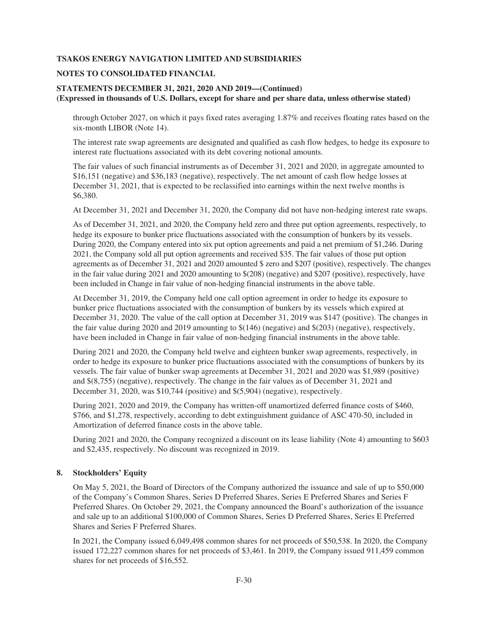#### **NOTES TO CONSOLIDATED FINANCIAL**

### **STATEMENTS DECEMBER 31, 2021, 2020 AND 2019—(Continued) (Expressed in thousands of U.S. Dollars, except for share and per share data, unless otherwise stated)**

through October 2027, on which it pays fixed rates averaging 1.87% and receives floating rates based on the six-month LIBOR (Note 14).

The interest rate swap agreements are designated and qualified as cash flow hedges, to hedge its exposure to interest rate fluctuations associated with its debt covering notional amounts.

The fair values of such financial instruments as of December 31, 2021 and 2020, in aggregate amounted to \$16,151 (negative) and \$36,183 (negative), respectively. The net amount of cash flow hedge losses at December 31, 2021, that is expected to be reclassified into earnings within the next twelve months is \$6,380.

At December 31, 2021 and December 31, 2020, the Company did not have non-hedging interest rate swaps.

As of December 31, 2021, and 2020, the Company held zero and three put option agreements, respectively, to hedge its exposure to bunker price fluctuations associated with the consumption of bunkers by its vessels. During 2020, the Company entered into six put option agreements and paid a net premium of \$1,246. During 2021, the Company sold all put option agreements and received \$35. The fair values of those put option agreements as of December 31, 2021 and 2020 amounted \$ zero and \$207 (positive), respectively. The changes in the fair value during 2021 and 2020 amounting to \$(208) (negative) and \$207 (positive), respectively, have been included in Change in fair value of non-hedging financial instruments in the above table.

At December 31, 2019, the Company held one call option agreement in order to hedge its exposure to bunker price fluctuations associated with the consumption of bunkers by its vessels which expired at December 31, 2020. The value of the call option at December 31, 2019 was \$147 (positive). The changes in the fair value during 2020 and 2019 amounting to \$(146) (negative) and \$(203) (negative), respectively, have been included in Change in fair value of non-hedging financial instruments in the above table.

During 2021 and 2020, the Company held twelve and eighteen bunker swap agreements, respectively, in order to hedge its exposure to bunker price fluctuations associated with the consumptions of bunkers by its vessels. The fair value of bunker swap agreements at December 31, 2021 and 2020 was \$1,989 (positive) and \$(8,755) (negative), respectively. The change in the fair values as of December 31, 2021 and December 31, 2020, was \$10,744 (positive) and \$(5,904) (negative), respectively.

During 2021, 2020 and 2019, the Company has written-off unamortized deferred finance costs of \$460, \$766, and \$1,278, respectively, according to debt extinguishment guidance of ASC 470-50, included in Amortization of deferred finance costs in the above table.

During 2021 and 2020, the Company recognized a discount on its lease liability (Note 4) amounting to \$603 and \$2,435, respectively. No discount was recognized in 2019.

### **8. Stockholders' Equity**

On May 5, 2021, the Board of Directors of the Company authorized the issuance and sale of up to \$50,000 of the Company's Common Shares, Series D Preferred Shares, Series E Preferred Shares and Series F Preferred Shares. On October 29, 2021, the Company announced the Board's authorization of the issuance and sale up to an additional \$100,000 of Common Shares, Series D Preferred Shares, Series E Preferred Shares and Series F Preferred Shares.

In 2021, the Company issued 6,049,498 common shares for net proceeds of \$50,538. In 2020, the Company issued 172,227 common shares for net proceeds of \$3,461. In 2019, the Company issued 911,459 common shares for net proceeds of \$16,552.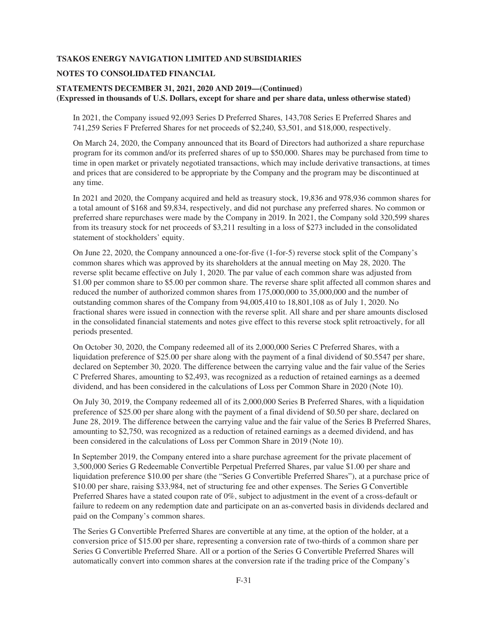#### **NOTES TO CONSOLIDATED FINANCIAL**

### **STATEMENTS DECEMBER 31, 2021, 2020 AND 2019—(Continued) (Expressed in thousands of U.S. Dollars, except for share and per share data, unless otherwise stated)**

In 2021, the Company issued 92,093 Series D Preferred Shares, 143,708 Series E Preferred Shares and 741,259 Series F Preferred Shares for net proceeds of \$2,240, \$3,501, and \$18,000, respectively.

On March 24, 2020, the Company announced that its Board of Directors had authorized a share repurchase program for its common and/or its preferred shares of up to \$50,000. Shares may be purchased from time to time in open market or privately negotiated transactions, which may include derivative transactions, at times and prices that are considered to be appropriate by the Company and the program may be discontinued at any time.

In 2021 and 2020, the Company acquired and held as treasury stock, 19,836 and 978,936 common shares for a total amount of \$168 and \$9,834, respectively, and did not purchase any preferred shares. No common or preferred share repurchases were made by the Company in 2019. In 2021, the Company sold 320,599 shares from its treasury stock for net proceeds of \$3,211 resulting in a loss of \$273 included in the consolidated statement of stockholders' equity.

On June 22, 2020, the Company announced a one-for-five (1-for-5) reverse stock split of the Company's common shares which was approved by its shareholders at the annual meeting on May 28, 2020. The reverse split became effective on July 1, 2020. The par value of each common share was adjusted from \$1.00 per common share to \$5.00 per common share. The reverse share split affected all common shares and reduced the number of authorized common shares from 175,000,000 to 35,000,000 and the number of outstanding common shares of the Company from 94,005,410 to 18,801,108 as of July 1, 2020. No fractional shares were issued in connection with the reverse split. All share and per share amounts disclosed in the consolidated financial statements and notes give effect to this reverse stock split retroactively, for all periods presented.

On October 30, 2020, the Company redeemed all of its 2,000,000 Series C Preferred Shares, with a liquidation preference of \$25.00 per share along with the payment of a final dividend of \$0.5547 per share, declared on September 30, 2020. The difference between the carrying value and the fair value of the Series C Preferred Shares, amounting to \$2,493, was recognized as a reduction of retained earnings as a deemed dividend, and has been considered in the calculations of Loss per Common Share in 2020 (Note 10).

On July 30, 2019, the Company redeemed all of its 2,000,000 Series B Preferred Shares, with a liquidation preference of \$25.00 per share along with the payment of a final dividend of \$0.50 per share, declared on June 28, 2019. The difference between the carrying value and the fair value of the Series B Preferred Shares, amounting to \$2,750, was recognized as a reduction of retained earnings as a deemed dividend, and has been considered in the calculations of Loss per Common Share in 2019 (Note 10).

In September 2019, the Company entered into a share purchase agreement for the private placement of 3,500,000 Series G Redeemable Convertible Perpetual Preferred Shares, par value \$1.00 per share and liquidation preference \$10.00 per share (the "Series G Convertible Preferred Shares"), at a purchase price of \$10.00 per share, raising \$33,984, net of structuring fee and other expenses. The Series G Convertible Preferred Shares have a stated coupon rate of 0%, subject to adjustment in the event of a cross-default or failure to redeem on any redemption date and participate on an as-converted basis in dividends declared and paid on the Company's common shares.

The Series G Convertible Preferred Shares are convertible at any time, at the option of the holder, at a conversion price of \$15.00 per share, representing a conversion rate of two-thirds of a common share per Series G Convertible Preferred Share. All or a portion of the Series G Convertible Preferred Shares will automatically convert into common shares at the conversion rate if the trading price of the Company's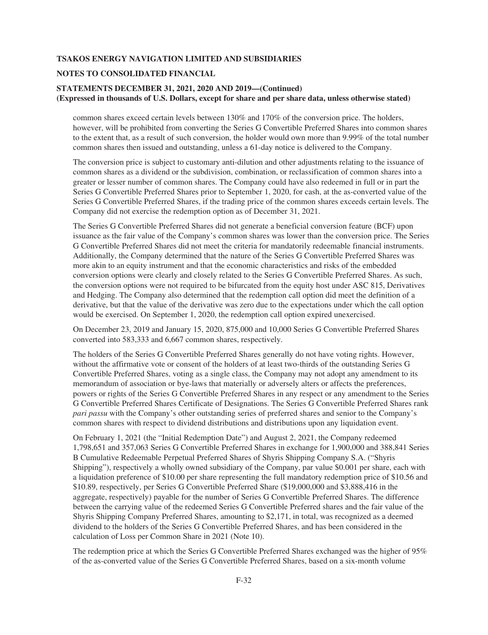#### **NOTES TO CONSOLIDATED FINANCIAL**

### **STATEMENTS DECEMBER 31, 2021, 2020 AND 2019—(Continued) (Expressed in thousands of U.S. Dollars, except for share and per share data, unless otherwise stated)**

common shares exceed certain levels between 130% and 170% of the conversion price. The holders, however, will be prohibited from converting the Series G Convertible Preferred Shares into common shares to the extent that, as a result of such conversion, the holder would own more than 9.99% of the total number common shares then issued and outstanding, unless a 61-day notice is delivered to the Company.

The conversion price is subject to customary anti-dilution and other adjustments relating to the issuance of common shares as a dividend or the subdivision, combination, or reclassification of common shares into a greater or lesser number of common shares. The Company could have also redeemed in full or in part the Series G Convertible Preferred Shares prior to September 1, 2020, for cash, at the as-converted value of the Series G Convertible Preferred Shares, if the trading price of the common shares exceeds certain levels. The Company did not exercise the redemption option as of December 31, 2021.

The Series G Convertible Preferred Shares did not generate a beneficial conversion feature (BCF) upon issuance as the fair value of the Company's common shares was lower than the conversion price. The Series G Convertible Preferred Shares did not meet the criteria for mandatorily redeemable financial instruments. Additionally, the Company determined that the nature of the Series G Convertible Preferred Shares was more akin to an equity instrument and that the economic characteristics and risks of the embedded conversion options were clearly and closely related to the Series G Convertible Preferred Shares. As such, the conversion options were not required to be bifurcated from the equity host under ASC 815, Derivatives and Hedging. The Company also determined that the redemption call option did meet the definition of a derivative, but that the value of the derivative was zero due to the expectations under which the call option would be exercised. On September 1, 2020, the redemption call option expired unexercised.

On December 23, 2019 and January 15, 2020, 875,000 and 10,000 Series G Convertible Preferred Shares converted into 583,333 and 6,667 common shares, respectively.

The holders of the Series G Convertible Preferred Shares generally do not have voting rights. However, without the affirmative vote or consent of the holders of at least two-thirds of the outstanding Series G Convertible Preferred Shares, voting as a single class, the Company may not adopt any amendment to its memorandum of association or bye-laws that materially or adversely alters or affects the preferences, powers or rights of the Series G Convertible Preferred Shares in any respect or any amendment to the Series G Convertible Preferred Shares Certificate of Designations. The Series G Convertible Preferred Shares rank *pari passu* with the Company's other outstanding series of preferred shares and senior to the Company's common shares with respect to dividend distributions and distributions upon any liquidation event.

On February 1, 2021 (the "Initial Redemption Date") and August 2, 2021, the Company redeemed 1,798,651 and 357,063 Series G Convertible Preferred Shares in exchange for 1,900,000 and 388,841 Series B Cumulative Redeemable Perpetual Preferred Shares of Shyris Shipping Company S.A. ("Shyris Shipping"), respectively a wholly owned subsidiary of the Company, par value \$0.001 per share, each with a liquidation preference of \$10.00 per share representing the full mandatory redemption price of \$10.56 and \$10.89, respectively, per Series G Convertible Preferred Share (\$19,000,000 and \$3,888,416 in the aggregate, respectively) payable for the number of Series G Convertible Preferred Shares. The difference between the carrying value of the redeemed Series G Convertible Preferred shares and the fair value of the Shyris Shipping Company Preferred Shares, amounting to \$2,171, in total, was recognized as a deemed dividend to the holders of the Series G Convertible Preferred Shares, and has been considered in the calculation of Loss per Common Share in 2021 (Note 10).

The redemption price at which the Series G Convertible Preferred Shares exchanged was the higher of 95% of the as-converted value of the Series G Convertible Preferred Shares, based on a six-month volume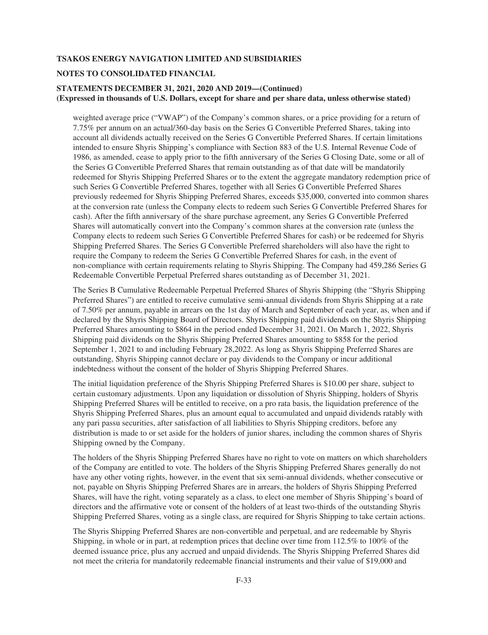### **NOTES TO CONSOLIDATED FINANCIAL**

# **STATEMENTS DECEMBER 31, 2021, 2020 AND 2019—(Continued) (Expressed in thousands of U.S. Dollars, except for share and per share data, unless otherwise stated)**

weighted average price ("VWAP") of the Company's common shares, or a price providing for a return of 7.75% per annum on an actual/360-day basis on the Series G Convertible Preferred Shares, taking into account all dividends actually received on the Series G Convertible Preferred Shares. If certain limitations intended to ensure Shyris Shipping's compliance with Section 883 of the U.S. Internal Revenue Code of 1986, as amended, cease to apply prior to the fifth anniversary of the Series G Closing Date, some or all of the Series G Convertible Preferred Shares that remain outstanding as of that date will be mandatorily redeemed for Shyris Shipping Preferred Shares or to the extent the aggregate mandatory redemption price of such Series G Convertible Preferred Shares, together with all Series G Convertible Preferred Shares previously redeemed for Shyris Shipping Preferred Shares, exceeds \$35,000, converted into common shares at the conversion rate (unless the Company elects to redeem such Series G Convertible Preferred Shares for cash). After the fifth anniversary of the share purchase agreement, any Series G Convertible Preferred Shares will automatically convert into the Company's common shares at the conversion rate (unless the Company elects to redeem such Series G Convertible Preferred Shares for cash) or be redeemed for Shyris Shipping Preferred Shares. The Series G Convertible Preferred shareholders will also have the right to require the Company to redeem the Series G Convertible Preferred Shares for cash, in the event of non-compliance with certain requirements relating to Shyris Shipping. The Company had 459,286 Series G Redeemable Convertible Perpetual Preferred shares outstanding as of December 31, 2021.

The Series B Cumulative Redeemable Perpetual Preferred Shares of Shyris Shipping (the "Shyris Shipping Preferred Shares") are entitled to receive cumulative semi-annual dividends from Shyris Shipping at a rate of 7.50% per annum, payable in arrears on the 1st day of March and September of each year, as, when and if declared by the Shyris Shipping Board of Directors. Shyris Shipping paid dividends on the Shyris Shipping Preferred Shares amounting to \$864 in the period ended December 31, 2021. On March 1, 2022, Shyris Shipping paid dividends on the Shyris Shipping Preferred Shares amounting to \$858 for the period September 1, 2021 to and including February 28,2022. As long as Shyris Shipping Preferred Shares are outstanding, Shyris Shipping cannot declare or pay dividends to the Company or incur additional indebtedness without the consent of the holder of Shyris Shipping Preferred Shares.

The initial liquidation preference of the Shyris Shipping Preferred Shares is \$10.00 per share, subject to certain customary adjustments. Upon any liquidation or dissolution of Shyris Shipping, holders of Shyris Shipping Preferred Shares will be entitled to receive, on a pro rata basis, the liquidation preference of the Shyris Shipping Preferred Shares, plus an amount equal to accumulated and unpaid dividends ratably with any pari passu securities, after satisfaction of all liabilities to Shyris Shipping creditors, before any distribution is made to or set aside for the holders of junior shares, including the common shares of Shyris Shipping owned by the Company.

The holders of the Shyris Shipping Preferred Shares have no right to vote on matters on which shareholders of the Company are entitled to vote. The holders of the Shyris Shipping Preferred Shares generally do not have any other voting rights, however, in the event that six semi-annual dividends, whether consecutive or not, payable on Shyris Shipping Preferred Shares are in arrears, the holders of Shyris Shipping Preferred Shares, will have the right, voting separately as a class, to elect one member of Shyris Shipping's board of directors and the affirmative vote or consent of the holders of at least two-thirds of the outstanding Shyris Shipping Preferred Shares, voting as a single class, are required for Shyris Shipping to take certain actions.

The Shyris Shipping Preferred Shares are non-convertible and perpetual, and are redeemable by Shyris Shipping, in whole or in part, at redemption prices that decline over time from 112.5% to 100% of the deemed issuance price, plus any accrued and unpaid dividends. The Shyris Shipping Preferred Shares did not meet the criteria for mandatorily redeemable financial instruments and their value of \$19,000 and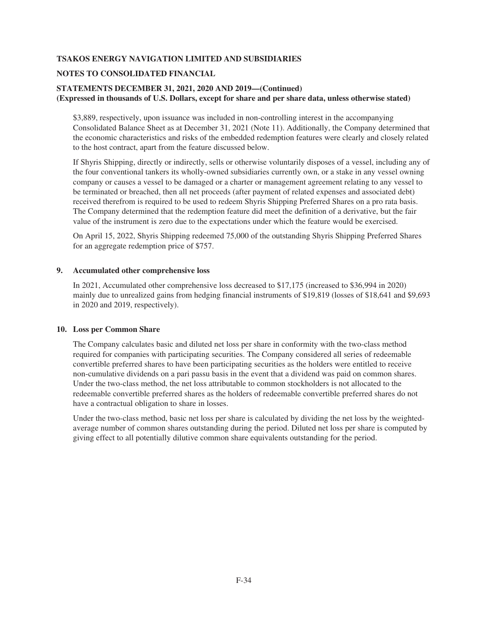### **NOTES TO CONSOLIDATED FINANCIAL**

# **STATEMENTS DECEMBER 31, 2021, 2020 AND 2019—(Continued) (Expressed in thousands of U.S. Dollars, except for share and per share data, unless otherwise stated)**

\$3,889, respectively, upon issuance was included in non-controlling interest in the accompanying Consolidated Balance Sheet as at December 31, 2021 (Note 11). Additionally, the Company determined that the economic characteristics and risks of the embedded redemption features were clearly and closely related to the host contract, apart from the feature discussed below.

If Shyris Shipping, directly or indirectly, sells or otherwise voluntarily disposes of a vessel, including any of the four conventional tankers its wholly-owned subsidiaries currently own, or a stake in any vessel owning company or causes a vessel to be damaged or a charter or management agreement relating to any vessel to be terminated or breached, then all net proceeds (after payment of related expenses and associated debt) received therefrom is required to be used to redeem Shyris Shipping Preferred Shares on a pro rata basis. The Company determined that the redemption feature did meet the definition of a derivative, but the fair value of the instrument is zero due to the expectations under which the feature would be exercised.

On April 15, 2022, Shyris Shipping redeemed 75,000 of the outstanding Shyris Shipping Preferred Shares for an aggregate redemption price of \$757.

#### **9. Accumulated other comprehensive loss**

In 2021, Accumulated other comprehensive loss decreased to \$17,175 (increased to \$36,994 in 2020) mainly due to unrealized gains from hedging financial instruments of \$19,819 (losses of \$18,641 and \$9,693 in 2020 and 2019, respectively).

### **10. Loss per Common Share**

The Company calculates basic and diluted net loss per share in conformity with the two-class method required for companies with participating securities. The Company considered all series of redeemable convertible preferred shares to have been participating securities as the holders were entitled to receive non-cumulative dividends on a pari passu basis in the event that a dividend was paid on common shares. Under the two-class method, the net loss attributable to common stockholders is not allocated to the redeemable convertible preferred shares as the holders of redeemable convertible preferred shares do not have a contractual obligation to share in losses.

Under the two-class method, basic net loss per share is calculated by dividing the net loss by the weightedaverage number of common shares outstanding during the period. Diluted net loss per share is computed by giving effect to all potentially dilutive common share equivalents outstanding for the period.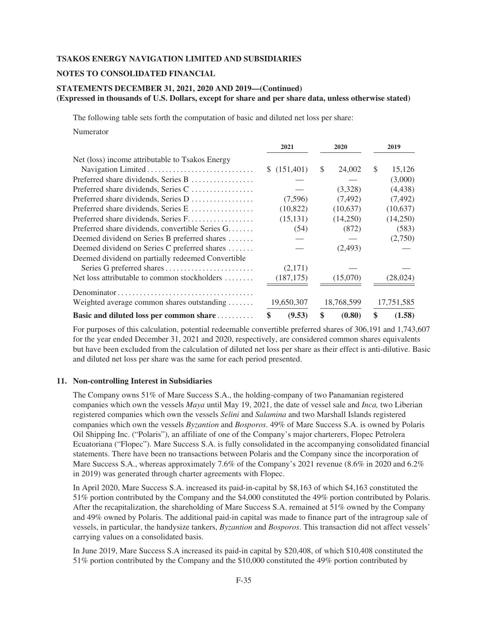### **NOTES TO CONSOLIDATED FINANCIAL**

# **STATEMENTS DECEMBER 31, 2021, 2020 AND 2019—(Continued)**

# **(Expressed in thousands of U.S. Dollars, except for share and per share data, unless otherwise stated)**

The following table sets forth the computation of basic and diluted net loss per share:

Numerator

|                                                   | 2021            | 2020         | 2019         |
|---------------------------------------------------|-----------------|--------------|--------------|
| Net (loss) income attributable to Tsakos Energy   |                 |              |              |
|                                                   | (151,401)<br>S. | \$<br>24,002 | \$<br>15,126 |
| Preferred share dividends, Series B               |                 |              | (3,000)      |
| Preferred share dividends, Series C               |                 | (3,328)      | (4, 438)     |
| Preferred share dividends, Series D               | (7,596)         | (7, 492)     | (7, 492)     |
| Preferred share dividends, Series E               | (10, 822)       | (10,637)     | (10,637)     |
| Preferred share dividends, Series F               | (15, 131)       | (14,250)     | (14,250)     |
| Preferred share dividends, convertible Series G   | (54)            | (872)        | (583)        |
| Deemed dividend on Series B preferred shares      |                 |              | (2,750)      |
| Deemed dividend on Series C preferred shares      |                 | (2, 493)     |              |
| Deemed dividend on partially redeemed Convertible |                 |              |              |
|                                                   | (2,171)         |              |              |
| Net loss attributable to common stockholders      | (187, 175)      | (15,070)     | (28,024)     |
|                                                   |                 |              |              |
| Weighted average common shares outstanding        | 19,650,307      | 18,768,599   | 17,751,585   |
| Basic and diluted loss per common share           | \$<br>(9.53)    | \$<br>(0.80) | \$<br>(1.58) |

For purposes of this calculation, potential redeemable convertible preferred shares of 306,191 and 1,743,607 for the year ended December 31, 2021 and 2020, respectively, are considered common shares equivalents but have been excluded from the calculation of diluted net loss per share as their effect is anti-dilutive. Basic and diluted net loss per share was the same for each period presented.

#### **11. Non-controlling Interest in Subsidiaries**

The Company owns 51% of Mare Success S.A., the holding-company of two Panamanian registered companies which own the vessels *Maya* until May 19, 2021, the date of vessel sale and *Inca,* two Liberian registered companies which own the vessels *Selini* and *Salamina* and two Marshall Islands registered companies which own the vessels *Byzantion* and *Bosporos*. 49% of Mare Success S.A. is owned by Polaris Oil Shipping Inc. ("Polaris"), an affiliate of one of the Company's major charterers, Flopec Petrolera Ecuatoriana ("Flopec"). Mare Success S.A. is fully consolidated in the accompanying consolidated financial statements. There have been no transactions between Polaris and the Company since the incorporation of Mare Success S.A., whereas approximately 7.6% of the Company's 2021 revenue (8.6% in 2020 and 6.2% in 2019) was generated through charter agreements with Flopec.

In April 2020, Mare Success S.A. increased its paid-in-capital by \$8,163 of which \$4,163 constituted the 51% portion contributed by the Company and the \$4,000 constituted the 49% portion contributed by Polaris. After the recapitalization, the shareholding of Mare Success S.A. remained at 51% owned by the Company and 49% owned by Polaris. The additional paid-in capital was made to finance part of the intragroup sale of vessels, in particular, the handysize tankers, *Byzantion* and *Bosporos*. This transaction did not affect vessels' carrying values on a consolidated basis.

In June 2019, Mare Success S.A increased its paid-in capital by \$20,408, of which \$10,408 constituted the 51% portion contributed by the Company and the \$10,000 constituted the 49% portion contributed by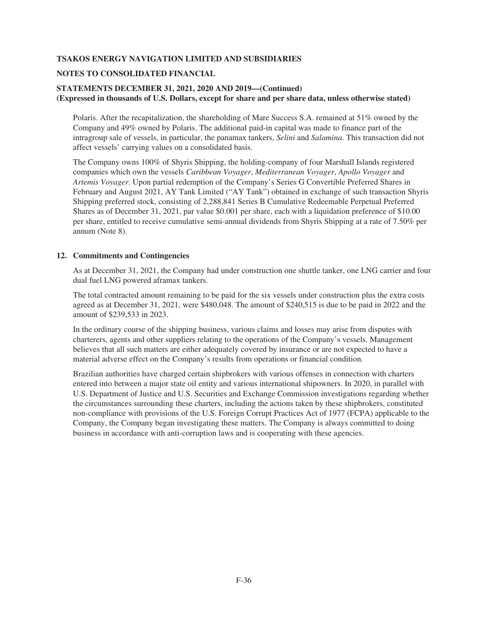### **NOTES TO CONSOLIDATED FINANCIAL**

# **STATEMENTS DECEMBER 31, 2021, 2020 AND 2019—(Continued) (Expressed in thousands of U.S. Dollars, except for share and per share data, unless otherwise stated)**

Polaris. After the recapitalization, the shareholding of Mare Success S.A. remained at 51% owned by the Company and 49% owned by Polaris. The additional paid-in capital was made to finance part of the intragroup sale of vessels, in particular, the panamax tankers, *Selini* and *Salamina*. This transaction did not affect vessels' carrying values on a consolidated basis.

The Company owns 100% of Shyris Shipping, the holding-company of four Marshall Islands registered companies which own the vessels *Caribbean Voyager*, *Mediterranean Voyager*, *Apollo Voyager* and *Artemis Voyager*. Upon partial redemption of the Company's Series G Convertible Preferred Shares in February and August 2021, AY Tank Limited ("AY Tank") obtained in exchange of such transaction Shyris Shipping preferred stock, consisting of 2,288,841 Series B Cumulative Redeemable Perpetual Preferred Shares as of December 31, 2021, par value \$0.001 per share, each with a liquidation preference of \$10.00 per share, entitled to receive cumulative semi-annual dividends from Shyris Shipping at a rate of 7.50% per annum (Note 8).

### **12. Commitments and Contingencies**

As at December 31, 2021, the Company had under construction one shuttle tanker, one LNG carrier and four dual fuel LNG powered aframax tankers.

The total contracted amount remaining to be paid for the six vessels under construction plus the extra costs agreed as at December 31, 2021, were \$480,048. The amount of \$240,515 is due to be paid in 2022 and the amount of \$239,533 in 2023.

In the ordinary course of the shipping business, various claims and losses may arise from disputes with charterers, agents and other suppliers relating to the operations of the Company's vessels. Management believes that all such matters are either adequately covered by insurance or are not expected to have a material adverse effect on the Company's results from operations or financial condition.

Brazilian authorities have charged certain shipbrokers with various offenses in connection with charters entered into between a major state oil entity and various international shipowners. In 2020, in parallel with U.S. Department of Justice and U.S. Securities and Exchange Commission investigations regarding whether the circumstances surrounding these charters, including the actions taken by these shipbrokers, constituted non-compliance with provisions of the U.S. Foreign Corrupt Practices Act of 1977 (FCPA) applicable to the Company, the Company began investigating these matters. The Company is always committed to doing business in accordance with anti-corruption laws and is cooperating with these agencies.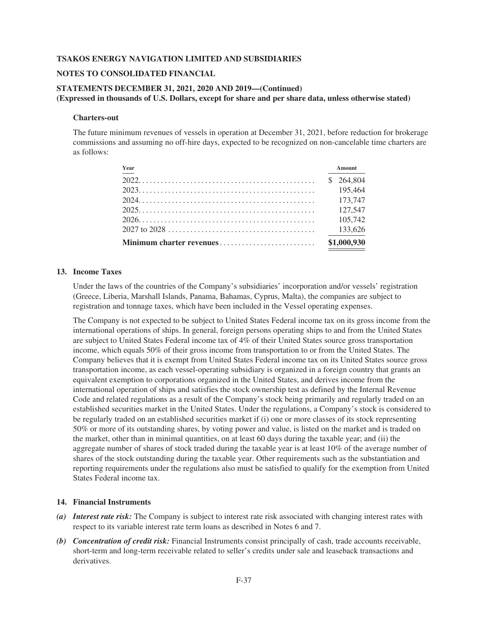#### **NOTES TO CONSOLIDATED FINANCIAL**

### **STATEMENTS DECEMBER 31, 2021, 2020 AND 2019—(Continued) (Expressed in thousands of U.S. Dollars, except for share and per share data, unless otherwise stated)**

#### **Charters-out**

The future minimum revenues of vessels in operation at December 31, 2021, before reduction for brokerage commissions and assuming no off-hire days, expected to be recognized on non-cancelable time charters are as follows:

| Year | <b>Amount</b> |
|------|---------------|
|      | \$264,804     |
|      | 195.464       |
|      | 173,747       |
|      | 127,547       |
| 2026 | 105.742       |
|      | 133,626       |
|      |               |

#### **13. Income Taxes**

Under the laws of the countries of the Company's subsidiaries' incorporation and/or vessels' registration (Greece, Liberia, Marshall Islands, Panama, Bahamas, Cyprus, Malta), the companies are subject to registration and tonnage taxes, which have been included in the Vessel operating expenses.

The Company is not expected to be subject to United States Federal income tax on its gross income from the international operations of ships. In general, foreign persons operating ships to and from the United States are subject to United States Federal income tax of 4% of their United States source gross transportation income, which equals 50% of their gross income from transportation to or from the United States. The Company believes that it is exempt from United States Federal income tax on its United States source gross transportation income, as each vessel-operating subsidiary is organized in a foreign country that grants an equivalent exemption to corporations organized in the United States, and derives income from the international operation of ships and satisfies the stock ownership test as defined by the Internal Revenue Code and related regulations as a result of the Company's stock being primarily and regularly traded on an established securities market in the United States. Under the regulations, a Company's stock is considered to be regularly traded on an established securities market if (i) one or more classes of its stock representing 50% or more of its outstanding shares, by voting power and value, is listed on the market and is traded on the market, other than in minimal quantities, on at least 60 days during the taxable year; and (ii) the aggregate number of shares of stock traded during the taxable year is at least 10% of the average number of shares of the stock outstanding during the taxable year. Other requirements such as the substantiation and reporting requirements under the regulations also must be satisfied to qualify for the exemption from United States Federal income tax.

### **14. Financial Instruments**

- *(a) Interest rate risk:* The Company is subject to interest rate risk associated with changing interest rates with respect to its variable interest rate term loans as described in Notes 6 and 7.
- *(b) Concentration of credit risk:* Financial Instruments consist principally of cash, trade accounts receivable, short-term and long-term receivable related to seller's credits under sale and leaseback transactions and derivatives.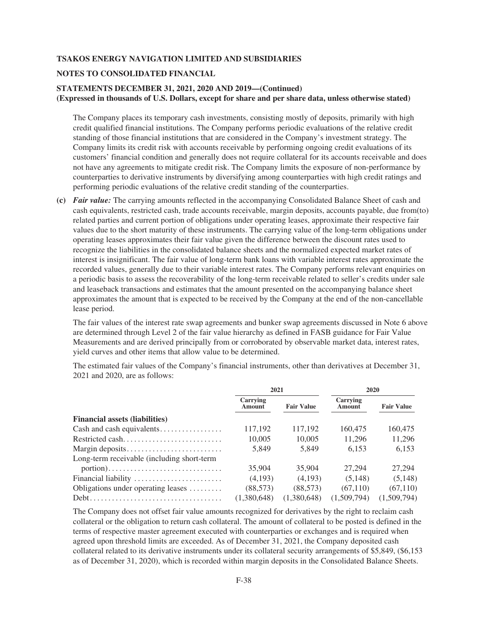#### **NOTES TO CONSOLIDATED FINANCIAL**

### **STATEMENTS DECEMBER 31, 2021, 2020 AND 2019—(Continued) (Expressed in thousands of U.S. Dollars, except for share and per share data, unless otherwise stated)**

The Company places its temporary cash investments, consisting mostly of deposits, primarily with high credit qualified financial institutions. The Company performs periodic evaluations of the relative credit standing of those financial institutions that are considered in the Company's investment strategy. The Company limits its credit risk with accounts receivable by performing ongoing credit evaluations of its customers' financial condition and generally does not require collateral for its accounts receivable and does not have any agreements to mitigate credit risk. The Company limits the exposure of non-performance by counterparties to derivative instruments by diversifying among counterparties with high credit ratings and performing periodic evaluations of the relative credit standing of the counterparties.

**(c)** *Fair value:* The carrying amounts reflected in the accompanying Consolidated Balance Sheet of cash and cash equivalents, restricted cash, trade accounts receivable, margin deposits, accounts payable, due from(to) related parties and current portion of obligations under operating leases, approximate their respective fair values due to the short maturity of these instruments. The carrying value of the long-term obligations under operating leases approximates their fair value given the difference between the discount rates used to recognize the liabilities in the consolidated balance sheets and the normalized expected market rates of interest is insignificant. The fair value of long-term bank loans with variable interest rates approximate the recorded values, generally due to their variable interest rates. The Company performs relevant enquiries on a periodic basis to assess the recoverability of the long-term receivable related to seller's credits under sale and leaseback transactions and estimates that the amount presented on the accompanying balance sheet approximates the amount that is expected to be received by the Company at the end of the non-cancellable lease period.

The fair values of the interest rate swap agreements and bunker swap agreements discussed in Note 6 above are determined through Level 2 of the fair value hierarchy as defined in FASB guidance for Fair Value Measurements and are derived principally from or corroborated by observable market data, interest rates, yield curves and other items that allow value to be determined.

The estimated fair values of the Company's financial instruments, other than derivatives at December 31, 2021 and 2020, are as follows:

|                                            | 2021               |                   | 2020                      |                   |
|--------------------------------------------|--------------------|-------------------|---------------------------|-------------------|
|                                            | Carrying<br>Amount | <b>Fair Value</b> | Carrying<br><b>Amount</b> | <b>Fair Value</b> |
| <b>Financial assets (liabilities)</b>      |                    |                   |                           |                   |
| Cash and cash equivalents                  | 117,192            | 117,192           | 160,475                   | 160,475           |
| Restricted cash                            | 10,005             | 10,005            | 11,296                    | 11,296            |
|                                            | 5.849              | 5.849             | 6.153                     | 6,153             |
| Long-term receivable (including short-term |                    |                   |                           |                   |
|                                            | 35,904             | 35,904            | 27,294                    | 27.294            |
| Financial liability                        | (4,193)            | (4,193)           | (5,148)                   | (5,148)           |
| Obligations under operating leases         | (88, 573)          | (88, 573)         | (67, 110)                 | (67, 110)         |
|                                            | (1.380.648)        | (1,380,648)       | (1.509.794)               | (1,509,794)       |

The Company does not offset fair value amounts recognized for derivatives by the right to reclaim cash collateral or the obligation to return cash collateral. The amount of collateral to be posted is defined in the terms of respective master agreement executed with counterparties or exchanges and is required when agreed upon threshold limits are exceeded. As of December 31, 2021, the Company deposited cash collateral related to its derivative instruments under its collateral security arrangements of \$5,849, (\$6,153 as of December 31, 2020), which is recorded within margin deposits in the Consolidated Balance Sheets.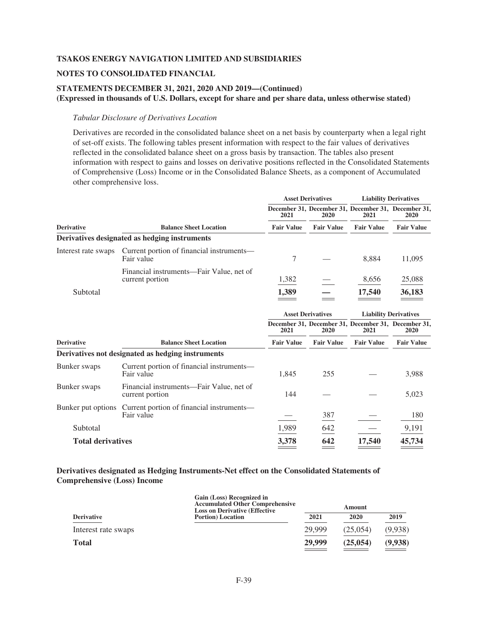#### **NOTES TO CONSOLIDATED FINANCIAL**

### **STATEMENTS DECEMBER 31, 2021, 2020 AND 2019—(Continued) (Expressed in thousands of U.S. Dollars, except for share and per share data, unless otherwise stated)**

#### *Tabular Disclosure of Derivatives Location*

Derivatives are recorded in the consolidated balance sheet on a net basis by counterparty when a legal right of set-off exists. The following tables present information with respect to the fair values of derivatives reflected in the consolidated balance sheet on a gross basis by transaction. The tables also present information with respect to gains and losses on derivative positions reflected in the Consolidated Statements of Comprehensive (Loss) Income or in the Consolidated Balance Sheets, as a component of Accumulated other comprehensive loss.

|                          |                                                             | <b>Asset Derivatives</b> |                   | <b>Liability Derivatives</b>                                |                   |
|--------------------------|-------------------------------------------------------------|--------------------------|-------------------|-------------------------------------------------------------|-------------------|
|                          |                                                             | 2021                     | 2020              | December 31, December 31, December 31, December 31,<br>2021 | 2020              |
| <b>Derivative</b>        | <b>Balance Sheet Location</b>                               | <b>Fair Value</b>        | <b>Fair Value</b> | <b>Fair Value</b>                                           | <b>Fair Value</b> |
|                          | Derivatives designated as hedging instruments               |                          |                   |                                                             |                   |
| Interest rate swaps      | Current portion of financial instruments-<br>Fair value     | 7                        |                   | 8,884                                                       | 11,095            |
|                          | Financial instruments—Fair Value, net of<br>current portion | 1,382                    |                   | 8,656                                                       | 25,088            |
| Subtotal                 |                                                             | 1,389                    |                   | 17,540                                                      | 36,183            |
|                          |                                                             | <b>Asset Derivatives</b> |                   | <b>Liability Derivatives</b>                                |                   |
|                          |                                                             | 2021                     | 2020              | December 31, December 31, December 31, December 31,<br>2021 | 2020              |
| <b>Derivative</b>        | <b>Balance Sheet Location</b>                               | <b>Fair Value</b>        | <b>Fair Value</b> | <b>Fair Value</b>                                           | <b>Fair Value</b> |
|                          | Derivatives not designated as hedging instruments           |                          |                   |                                                             |                   |
| Bunker swaps             | Current portion of financial instruments—<br>Fair value     | 1,845                    | 255               |                                                             | 3,988             |
| Bunker swaps             | Financial instruments—Fair Value, net of<br>current portion | 144                      |                   |                                                             | 5,023             |
| Bunker put options       | Current portion of financial instruments—<br>Fair value     |                          | 387               |                                                             | 180               |
| Subtotal                 |                                                             | 1,989                    | 642               |                                                             | 9,191             |
| <b>Total derivatives</b> |                                                             | 3,378                    | 642               | 17,540                                                      | 45,734            |

### **Derivatives designated as Hedging Instruments-Net effect on the Consolidated Statements of Comprehensive (Loss) Income**

|                     | Gain (Loss) Recognized in<br><b>Accumulated Other Comprehensive</b><br><b>Loss on Derivative (Effective)</b> | Amount |           |         |  |
|---------------------|--------------------------------------------------------------------------------------------------------------|--------|-----------|---------|--|
| <b>Derivative</b>   | <b>Portion</b> ) Location                                                                                    | 2021   | 2020      | 2019    |  |
| Interest rate swaps |                                                                                                              | 29,999 | (25.054)  | (9,938) |  |
| <b>Total</b>        |                                                                                                              | 29,999 | (25, 054) | (9,938) |  |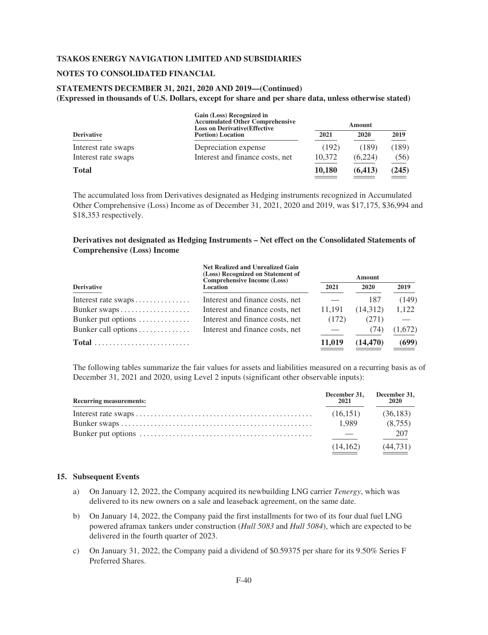### **NOTES TO CONSOLIDATED FINANCIAL**

### **STATEMENTS DECEMBER 31, 2021, 2020 AND 2019—(Continued) (Expressed in thousands of U.S. Dollars, except for share and per share data, unless otherwise stated)**

|                     | Gain (Loss) Recognized in<br><b>Accumulated Other Comprehensive</b><br><b>Loss on Derivative (Effective</b> | <b>Amount</b> |          |       |
|---------------------|-------------------------------------------------------------------------------------------------------------|---------------|----------|-------|
| <b>Derivative</b>   | <b>Portion</b> ) Location                                                                                   | 2021          | 2020     | 2019  |
| Interest rate swaps | Depreciation expense                                                                                        | (192)         | (189)    | (189) |
| Interest rate swaps | Interest and finance costs, net                                                                             | 10.372        | (6.224)  | (56)  |
| <b>Total</b>        |                                                                                                             | 10,180        | (6, 413) | (245) |

The accumulated loss from Derivatives designated as Hedging instruments recognized in Accumulated Other Comprehensive (Loss) Income as of December 31, 2021, 2020 and 2019, was \$17,175, \$36,994 and \$18,353 respectively.

### **Derivatives not designated as Hedging Instruments – Net effect on the Consolidated Statements of Comprehensive (Loss) Income**

|                                               | <b>Net Realized and Unrealized Gain</b><br>(Loss) Recognized on Statement of<br><b>Comprehensive Income (Loss)</b> | Amount |          |         |
|-----------------------------------------------|--------------------------------------------------------------------------------------------------------------------|--------|----------|---------|
| <b>Derivative</b>                             | Location                                                                                                           | 2021   | 2020     | 2019    |
| Interest rate swaps                           | Interest and finance costs, net                                                                                    |        | 187      | (149)   |
| Bunker swaps                                  | Interest and finance costs, net                                                                                    | 11.191 | (14,312) | 1,122   |
| Bunker put options $\dots \dots \dots$        | Interest and finance costs, net                                                                                    | (172)  | (271)    |         |
| Bunker call options $\dots \dots \dots \dots$ | Interest and finance costs, net                                                                                    |        | (74)     | (1,672) |
|                                               |                                                                                                                    | 11.019 | (14.470) | (699)   |

The following tables summarize the fair values for assets and liabilities measured on a recurring basis as of December 31, 2021 and 2020, using Level 2 inputs (significant other observable inputs):

| <b>Recurring measurements:</b> | December 31,<br>2021 | <b>December 31.</b><br>2020 |
|--------------------------------|----------------------|-----------------------------|
|                                | (16.151)             | (36, 183)                   |
|                                | 1.989                | (8.755)                     |
|                                |                      | 207                         |
|                                | (14,162)             | (44,731)                    |

### **15. Subsequent Events**

- a) On January 12, 2022, the Company acquired its newbuilding LNG carrier *Tenergy*, which was delivered to its new owners on a sale and leaseback agreement, on the same date.
- b) On January 14, 2022, the Company paid the first installments for two of its four dual fuel LNG powered aframax tankers under construction (*Hull 5083* and *Hull 5084*), which are expected to be delivered in the fourth quarter of 2023.
- c) On January 31, 2022, the Company paid a dividend of \$0.59375 per share for its 9.50% Series F Preferred Shares.